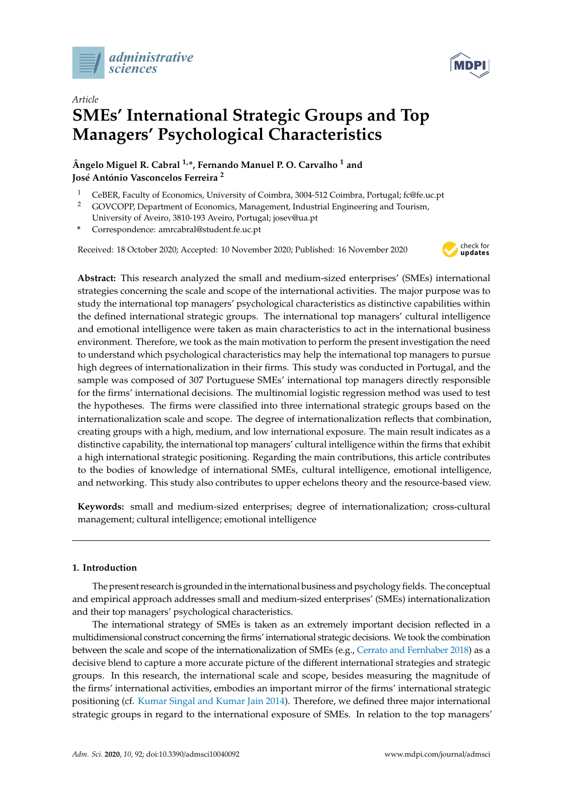



# *Article* **SMEs' International Strategic Groups and Top Managers' Psychological Characteristics**

# **Ângelo Miguel R. Cabral 1,\*, Fernando Manuel P. O. Carvalho <sup>1</sup> and José António Vasconcelos Ferreira <sup>2</sup>**

- <sup>1</sup> CeBER, Faculty of Economics, University of Coimbra, 3004-512 Coimbra, Portugal; fc@fe.uc.pt<br><sup>2</sup> COVCOBB Denotinent of Economics, Management, Industrial Engineering and Tourism
- <sup>2</sup> GOVCOPP, Department of Economics, Management, Industrial Engineering and Tourism, University of Aveiro, 3810-193 Aveiro, Portugal; josev@ua.pt
- **\*** Correspondence: amrcabral@student.fe.uc.pt

Received: 18 October 2020; Accepted: 10 November 2020; Published: 16 November 2020



**Abstract:** This research analyzed the small and medium-sized enterprises' (SMEs) international strategies concerning the scale and scope of the international activities. The major purpose was to study the international top managers' psychological characteristics as distinctive capabilities within the defined international strategic groups. The international top managers' cultural intelligence and emotional intelligence were taken as main characteristics to act in the international business environment. Therefore, we took as the main motivation to perform the present investigation the need to understand which psychological characteristics may help the international top managers to pursue high degrees of internationalization in their firms. This study was conducted in Portugal, and the sample was composed of 307 Portuguese SMEs' international top managers directly responsible for the firms' international decisions. The multinomial logistic regression method was used to test the hypotheses. The firms were classified into three international strategic groups based on the internationalization scale and scope. The degree of internationalization reflects that combination, creating groups with a high, medium, and low international exposure. The main result indicates as a distinctive capability, the international top managers' cultural intelligence within the firms that exhibit a high international strategic positioning. Regarding the main contributions, this article contributes to the bodies of knowledge of international SMEs, cultural intelligence, emotional intelligence, and networking. This study also contributes to upper echelons theory and the resource-based view.

**Keywords:** small and medium-sized enterprises; degree of internationalization; cross-cultural management; cultural intelligence; emotional intelligence

# **1. Introduction**

The present research is grounded in the international business and psychology fields. The conceptual and empirical approach addresses small and medium-sized enterprises' (SMEs) internationalization and their top managers' psychological characteristics.

The international strategy of SMEs is taken as an extremely important decision reflected in a multidimensional construct concerning the firms' international strategic decisions. We took the combination between the scale and scope of the internationalization of SMEs (e.g., [Cerrato and Fernhaber](#page-17-0) [2018\)](#page-17-0) as a decisive blend to capture a more accurate picture of the different international strategies and strategic groups. In this research, the international scale and scope, besides measuring the magnitude of the firms' international activities, embodies an important mirror of the firms' international strategic positioning (cf. [Kumar Singal and Kumar Jain](#page-19-0) [2014\)](#page-19-0). Therefore, we defined three major international strategic groups in regard to the international exposure of SMEs. In relation to the top managers'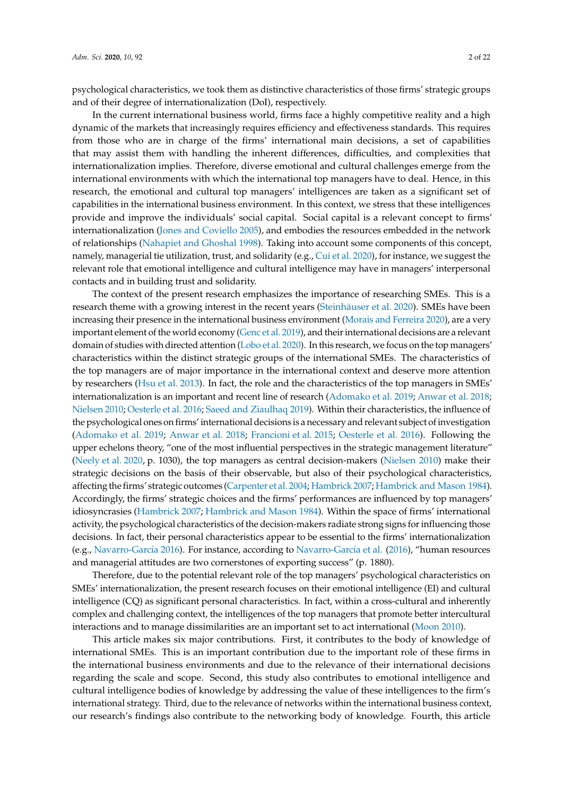psychological characteristics, we took them as distinctive characteristics of those firms' strategic groups and of their degree of internationalization (DoI), respectively.

In the current international business world, firms face a highly competitive reality and a high dynamic of the markets that increasingly requires efficiency and effectiveness standards. This requires from those who are in charge of the firms' international main decisions, a set of capabilities that may assist them with handling the inherent differences, difficulties, and complexities that internationalization implies. Therefore, diverse emotional and cultural challenges emerge from the international environments with which the international top managers have to deal. Hence, in this research, the emotional and cultural top managers' intelligences are taken as a significant set of capabilities in the international business environment. In this context, we stress that these intelligences provide and improve the individuals' social capital. Social capital is a relevant concept to firms' internationalization [\(Jones and Coviello](#page-18-0) [2005\)](#page-18-0), and embodies the resources embedded in the network of relationships [\(Nahapiet and Ghoshal](#page-20-0) [1998\)](#page-20-0). Taking into account some components of this concept, namely, managerial tie utilization, trust, and solidarity (e.g., [Cui et al.](#page-17-1) [2020\)](#page-17-1), for instance, we suggest the relevant role that emotional intelligence and cultural intelligence may have in managers' interpersonal contacts and in building trust and solidarity.

The context of the present research emphasizes the importance of researching SMEs. This is a research theme with a growing interest in the recent years [\(Steinhäuser et al.](#page-21-0) [2020\)](#page-21-0). SMEs have been increasing their presence in the international business environment [\(Morais and Ferreira](#page-19-1) [2020\)](#page-19-1), are a very important element of the world economy [\(Genc et al.](#page-18-1) [2019\)](#page-18-1), and their international decisions are a relevant domain of studies with directed attention [\(Lobo et al.](#page-19-2) [2020\)](#page-19-2). In this research, we focus on the top managers' characteristics within the distinct strategic groups of the international SMEs. The characteristics of the top managers are of major importance in the international context and deserve more attention by researchers [\(Hsu et al.](#page-18-2) [2013\)](#page-18-2). In fact, the role and the characteristics of the top managers in SMEs' internationalization is an important and recent line of research [\(Adomako et al.](#page-16-0) [2019;](#page-16-0) [Anwar et al.](#page-16-1) [2018;](#page-16-1) [Nielsen](#page-20-1) [2010;](#page-20-1) [Oesterle et al.](#page-20-2) [2016;](#page-20-2) [Saeed and Ziaulhaq](#page-20-3) [2019\)](#page-20-3). Within their characteristics, the influence of the psychological ones on firms' international decisions is a necessary and relevant subject of investigation [\(Adomako et al.](#page-16-0) [2019;](#page-16-0) [Anwar et al.](#page-16-1) [2018;](#page-16-1) [Francioni et al.](#page-18-3) [2015;](#page-18-3) [Oesterle et al.](#page-20-2) [2016\)](#page-20-2). Following the upper echelons theory, "one of the most influential perspectives in the strategic management literature" [\(Neely et al.](#page-20-4) [2020,](#page-20-4) p. 1030), the top managers as central decision-makers [\(Nielsen](#page-20-1) [2010\)](#page-20-1) make their strategic decisions on the basis of their observable, but also of their psychological characteristics, affecting the firms' strategic outcomes [\(Carpenter et al.](#page-17-2) [2004;](#page-17-2) [Hambrick](#page-18-4) [2007;](#page-18-4) [Hambrick and Mason](#page-18-5) [1984\)](#page-18-5). Accordingly, the firms' strategic choices and the firms' performances are influenced by top managers' idiosyncrasies [\(Hambrick](#page-18-4) [2007;](#page-18-4) [Hambrick and Mason](#page-18-5) [1984\)](#page-18-5). Within the space of firms' international activity, the psychological characteristics of the decision-makers radiate strong signs for influencing those decisions. In fact, their personal characteristics appear to be essential to the firms' internationalization (e.g., [Navarro-Garc](#page-20-5)ía [2016\)](#page-20-5). For instance, according to [Navarro-Garc](#page-20-6)ía et al. [\(2016\)](#page-20-6), "human resources and managerial attitudes are two cornerstones of exporting success" (p. 1880).

Therefore, due to the potential relevant role of the top managers' psychological characteristics on SMEs' internationalization, the present research focuses on their emotional intelligence (EI) and cultural intelligence (CQ) as significant personal characteristics. In fact, within a cross-cultural and inherently complex and challenging context, the intelligences of the top managers that promote better intercultural interactions and to manage dissimilarities are an important set to act international [\(Moon](#page-19-3) [2010\)](#page-19-3).

This article makes six major contributions. First, it contributes to the body of knowledge of international SMEs. This is an important contribution due to the important role of these firms in the international business environments and due to the relevance of their international decisions regarding the scale and scope. Second, this study also contributes to emotional intelligence and cultural intelligence bodies of knowledge by addressing the value of these intelligences to the firm's international strategy. Third, due to the relevance of networks within the international business context, our research's findings also contribute to the networking body of knowledge. Fourth, this article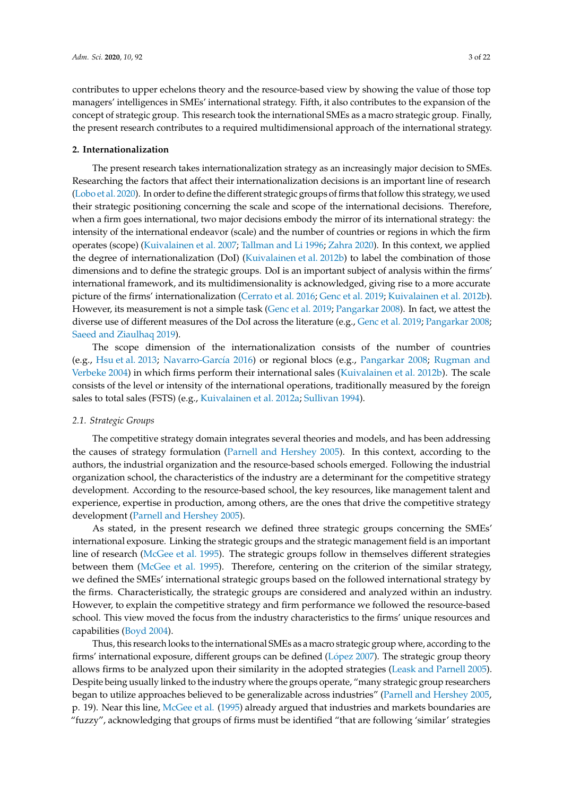contributes to upper echelons theory and the resource-based view by showing the value of those top managers' intelligences in SMEs' international strategy. Fifth, it also contributes to the expansion of the concept of strategic group. This research took the international SMEs as a macro strategic group. Finally, the present research contributes to a required multidimensional approach of the international strategy.

## **2. Internationalization**

The present research takes internationalization strategy as an increasingly major decision to SMEs. Researching the factors that affect their internationalization decisions is an important line of research [\(Lobo et al.](#page-19-2) [2020\)](#page-19-2). In order to define the different strategic groups of firms that follow this strategy, we used their strategic positioning concerning the scale and scope of the international decisions. Therefore, when a firm goes international, two major decisions embody the mirror of its international strategy: the intensity of the international endeavor (scale) and the number of countries or regions in which the firm operates (scope) [\(Kuivalainen et al.](#page-18-6) [2007;](#page-18-6) [Tallman and Li](#page-21-1) [1996;](#page-21-1) [Zahra](#page-21-2) [2020\)](#page-21-2). In this context, we applied the degree of internationalization (DoI) [\(Kuivalainen et al.](#page-19-4) [2012b\)](#page-19-4) to label the combination of those dimensions and to define the strategic groups. DoI is an important subject of analysis within the firms' international framework, and its multidimensionality is acknowledged, giving rise to a more accurate picture of the firms' internationalization [\(Cerrato et al.](#page-17-3) [2016;](#page-17-3) [Genc et al.](#page-18-1) [2019;](#page-18-1) [Kuivalainen et al.](#page-19-4) [2012b\)](#page-19-4). However, its measurement is not a simple task [\(Genc et al.](#page-18-1) [2019;](#page-18-1) [Pangarkar](#page-20-7) [2008\)](#page-20-7). In fact, we attest the diverse use of different measures of the DoI across the literature (e.g., [Genc et al.](#page-18-1) [2019;](#page-18-1) [Pangarkar](#page-20-7) [2008;](#page-20-7) [Saeed and Ziaulhaq](#page-20-3) [2019\)](#page-20-3).

The scope dimension of the internationalization consists of the number of countries (e.g., [Hsu et al.](#page-18-2) [2013;](#page-18-2) [Navarro-Garc](#page-20-5)ía [2016\)](#page-20-5) or regional blocs (e.g., [Pangarkar](#page-20-7) [2008;](#page-20-7) [Rugman and](#page-20-8) [Verbeke](#page-20-8) [2004\)](#page-20-8) in which firms perform their international sales [\(Kuivalainen et al.](#page-19-4) [2012b\)](#page-19-4). The scale consists of the level or intensity of the international operations, traditionally measured by the foreign sales to total sales (FSTS) (e.g., [Kuivalainen et al.](#page-19-5) [2012a;](#page-19-5) [Sullivan](#page-21-3) [1994\)](#page-21-3).

## *2.1. Strategic Groups*

The competitive strategy domain integrates several theories and models, and has been addressing the causes of strategy formulation [\(Parnell and Hershey](#page-20-9) [2005\)](#page-20-9). In this context, according to the authors, the industrial organization and the resource-based schools emerged. Following the industrial organization school, the characteristics of the industry are a determinant for the competitive strategy development. According to the resource-based school, the key resources, like management talent and experience, expertise in production, among others, are the ones that drive the competitive strategy development [\(Parnell and Hershey](#page-20-9) [2005\)](#page-20-9).

As stated, in the present research we defined three strategic groups concerning the SMEs' international exposure. Linking the strategic groups and the strategic management field is an important line of research [\(McGee et al.](#page-19-6) [1995\)](#page-19-6). The strategic groups follow in themselves different strategies between them [\(McGee et al.](#page-19-6) [1995\)](#page-19-6). Therefore, centering on the criterion of the similar strategy, we defined the SMEs' international strategic groups based on the followed international strategy by the firms. Characteristically, the strategic groups are considered and analyzed within an industry. However, to explain the competitive strategy and firm performance we followed the resource-based school. This view moved the focus from the industry characteristics to the firms' unique resources and capabilities [\(Boyd](#page-17-4) [2004\)](#page-17-4).

Thus, this research looks to the international SMEs as a macro strategic group where, according to the firms' international exposure, different groups can be defined (Ló[pez](#page-19-7) [2007\)](#page-19-7). The strategic group theory allows firms to be analyzed upon their similarity in the adopted strategies [\(Leask and Parnell](#page-19-8) [2005\)](#page-19-8). Despite being usually linked to the industry where the groups operate, "many strategic group researchers began to utilize approaches believed to be generalizable across industries" [\(Parnell and Hershey](#page-20-9) [2005,](#page-20-9) p. 19). Near this line, [McGee et al.](#page-19-6) [\(1995\)](#page-19-6) already argued that industries and markets boundaries are "fuzzy", acknowledging that groups of firms must be identified "that are following 'similar' strategies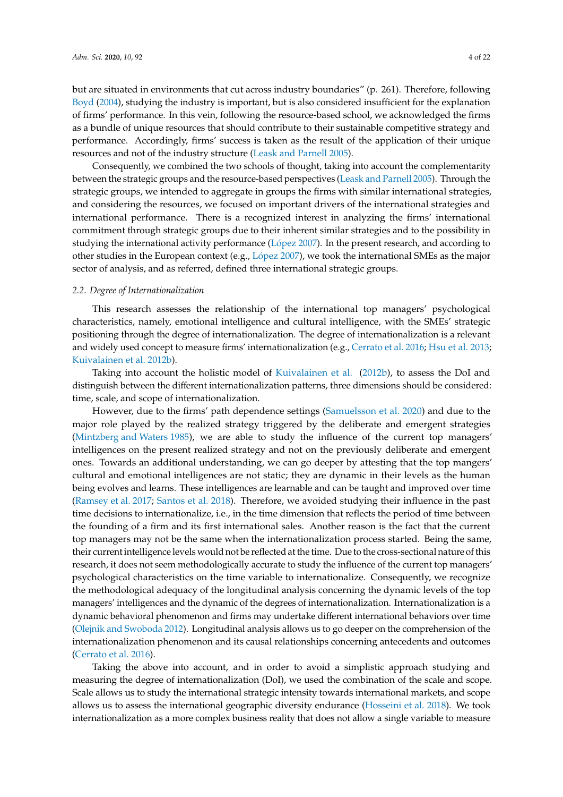but are situated in environments that cut across industry boundaries" (p. 261). Therefore, following [Boyd](#page-17-4) [\(2004\)](#page-17-4), studying the industry is important, but is also considered insufficient for the explanation of firms' performance. In this vein, following the resource-based school, we acknowledged the firms as a bundle of unique resources that should contribute to their sustainable competitive strategy and performance. Accordingly, firms' success is taken as the result of the application of their unique resources and not of the industry structure [\(Leask and Parnell](#page-19-8) [2005\)](#page-19-8).

Consequently, we combined the two schools of thought, taking into account the complementarity between the strategic groups and the resource-based perspectives [\(Leask and Parnell](#page-19-8) [2005\)](#page-19-8). Through the strategic groups, we intended to aggregate in groups the firms with similar international strategies, and considering the resources, we focused on important drivers of the international strategies and international performance. There is a recognized interest in analyzing the firms' international commitment through strategic groups due to their inherent similar strategies and to the possibility in studying the international activity performance (Ló[pez](#page-19-7) [2007\)](#page-19-7). In the present research, and according to other studies in the European context (e.g., Ló[pez](#page-19-7) [2007\)](#page-19-7), we took the international SMEs as the major sector of analysis, and as referred, defined three international strategic groups.

### *2.2. Degree of Internationalization*

This research assesses the relationship of the international top managers' psychological characteristics, namely, emotional intelligence and cultural intelligence, with the SMEs' strategic positioning through the degree of internationalization. The degree of internationalization is a relevant and widely used concept to measure firms' internationalization (e.g., [Cerrato et al.](#page-17-3) [2016;](#page-17-3) [Hsu et al.](#page-18-2) [2013;](#page-18-2) [Kuivalainen et al.](#page-19-4) [2012b\)](#page-19-4).

Taking into account the holistic model of [Kuivalainen et al.](#page-19-4) [\(2012b\)](#page-19-4), to assess the DoI and distinguish between the different internationalization patterns, three dimensions should be considered: time, scale, and scope of internationalization.

However, due to the firms' path dependence settings [\(Samuelsson et al.](#page-20-10) [2020\)](#page-20-10) and due to the major role played by the realized strategy triggered by the deliberate and emergent strategies [\(Mintzberg and Waters](#page-19-9) [1985\)](#page-19-9), we are able to study the influence of the current top managers' intelligences on the present realized strategy and not on the previously deliberate and emergent ones. Towards an additional understanding, we can go deeper by attesting that the top mangers' cultural and emotional intelligences are not static; they are dynamic in their levels as the human being evolves and learns. These intelligences are learnable and can be taught and improved over time [\(Ramsey et al.](#page-20-11) [2017;](#page-20-11) [Santos et al.](#page-21-4) [2018\)](#page-21-4). Therefore, we avoided studying their influence in the past time decisions to internationalize, i.e., in the time dimension that reflects the period of time between the founding of a firm and its first international sales. Another reason is the fact that the current top managers may not be the same when the internationalization process started. Being the same, their current intelligence levels would not be reflected at the time. Due to the cross-sectional nature of this research, it does not seem methodologically accurate to study the influence of the current top managers' psychological characteristics on the time variable to internationalize. Consequently, we recognize the methodological adequacy of the longitudinal analysis concerning the dynamic levels of the top managers' intelligences and the dynamic of the degrees of internationalization. Internationalization is a dynamic behavioral phenomenon and firms may undertake different international behaviors over time [\(Olejnik and Swoboda](#page-20-12) [2012\)](#page-20-12). Longitudinal analysis allows us to go deeper on the comprehension of the internationalization phenomenon and its causal relationships concerning antecedents and outcomes [\(Cerrato et al.](#page-17-3) [2016\)](#page-17-3).

Taking the above into account, and in order to avoid a simplistic approach studying and measuring the degree of internationalization (DoI), we used the combination of the scale and scope. Scale allows us to study the international strategic intensity towards international markets, and scope allows us to assess the international geographic diversity endurance [\(Hosseini et al.](#page-18-7) [2018\)](#page-18-7). We took internationalization as a more complex business reality that does not allow a single variable to measure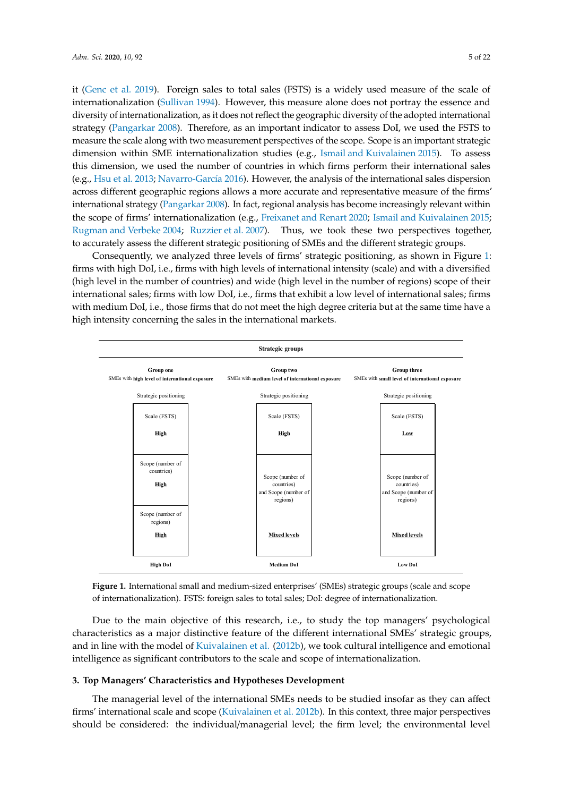it [\(Genc et al.](#page-18-1) [2019\)](#page-18-1). Foreign sales to total sales (FSTS) is a widely used measure of the scale of internationalization [\(Sullivan](#page-21-3) [1994\)](#page-21-3). However, this measure alone does not portray the essence and diversity of internationalization, as it does not reflect the geographic diversity of the adopted international diversity of internationalization, as it does not reflect the geographic diversity of the adopted strategy [\(Pangarkar](#page-20-7) [2008\)](#page-20-7). Therefore, as an important indicator to assess DoI, we used the FSTS to measure the scale along with two measurement perspectives of the scope. Scope is an important strategic dimension within SME internationalization studies (e.g., [Ismail and Kuivalainen](#page-18-8) [2015\)](#page-18-8). To assess this dimension, we used the number of countries in which firms perform their international sales (e.g., [Hsu et al.](#page-18-2) [2013;](#page-18-2) [Navarro-Garc](#page-20-5)ía [2016\)](#page-20-5). However, the analysis of the international sales dispersion across different geographic regions allows a more accurate and representative measure of the firms' international strategy [\(Pangarkar](#page-20-7) [2008\)](#page-20-7). In fact, regional analysis has become increasingly relevant within the scope of firms' internationalization (e.g., [Freixanet and Renart](#page-18-9) [2020;](#page-18-9) [Ismail and Kuivalainen](#page-18-8) [2015;](#page-18-8) [Rugman and Verbeke](#page-20-8) [2004;](#page-20-8) [Ruzzier et al.](#page-20-13) [2007\)](#page-20-13). Thus, we took these two perspectives together, to accurately assess the different strategic positioning of SMEs and the different strategic groups.

Consequently, we analyzed three levels of firms' strategic positioning, as shown in Figure [1:](#page-4-0) firms with high DoI, i.e., firms with high levels of international intensity (scale) and with a diversified (high level in the number of countries) and wide (high level in the number of regions) scope of their international sales; firms with low DoI, i.e., firms that exhibit a low level of international sales; firms with medium DoI, i.e., those firms that do not meet the high degree criteria but at the same time have a high intensity concerning the sales in the international markets.

<span id="page-4-0"></span>

**Figure 1.** International small and medium-sized enterprises of medium-sized enterprises  $\mathbf{P}$  (SMES) strategic groups (SMES) strategic groups (SMES) strategic groups (SMES) strategic groups (SMES) strategic groups (SME of internationalization). FSTS: foreign sales to total sales; DoI: degree of internationalization. of internationalization). FSTS: foreign sales to total sales; DoI: degree of internationalization. **Figure 1.** International small and medium-sized enterprises' (SMEs) strategic groups (scale and scope

characteristics as a major distinctive feature of the different international SMEs' strategic groups, and in line with the model of [Kuivalainen et al.](#page-19-4) [\(2012b\)](#page-19-4), we took cultural intelligence and emotional intelligence as significant contributors to the scale and scope of internationalization.  $\sim$  significant contributors to the scale and scope of internationalization. Due to the main objective of this research, i.e., to study the top managers' psychological

#### **3. Top Managers' Characteristics and Hypotheses Development**

**3. Top Managers' Characteristics and Hypotheses Development**  firms' international scale and scope [\(Kuivalainen et al.](#page-19-4) [2012b\)](#page-19-4). In this context, three major perspectives should be considered: the individual/managerial level; the firm level; the environmental level The managerial level of the international SMEs needs to be studied insofar as they can affect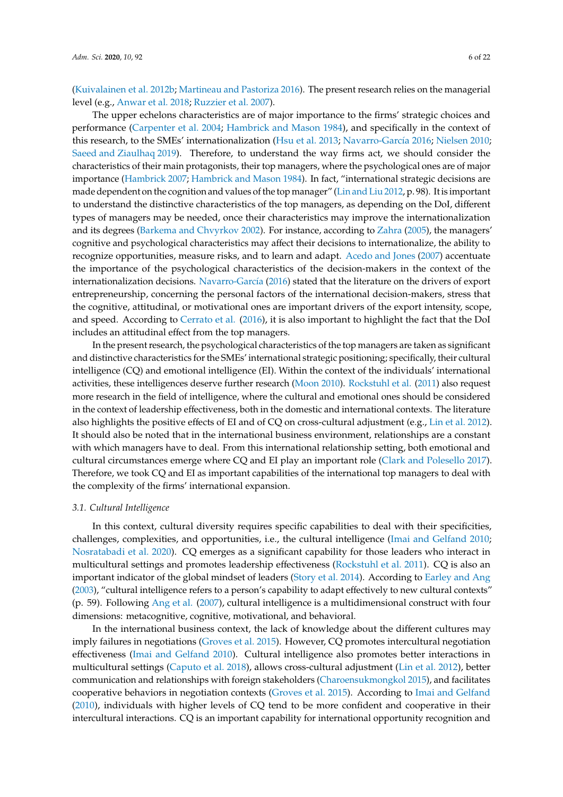[\(Kuivalainen et al.](#page-19-4) [2012b;](#page-19-4) [Martineau and Pastoriza](#page-19-10) [2016\)](#page-19-10). The present research relies on the managerial level (e.g., [Anwar et al.](#page-16-1) [2018;](#page-16-1) [Ruzzier et al.](#page-20-13) [2007\)](#page-20-13).

The upper echelons characteristics are of major importance to the firms' strategic choices and performance [\(Carpenter et al.](#page-17-2) [2004;](#page-17-2) [Hambrick and Mason](#page-18-5) [1984\)](#page-18-5), and specifically in the context of this research, to the SMEs' internationalization [\(Hsu et al.](#page-18-2) [2013;](#page-18-2) [Navarro-Garc](#page-20-5)ía [2016;](#page-20-5) [Nielsen](#page-20-1) [2010;](#page-20-1) [Saeed and Ziaulhaq](#page-20-3) [2019\)](#page-20-3). Therefore, to understand the way firms act, we should consider the characteristics of their main protagonists, their top managers, where the psychological ones are of major importance [\(Hambrick](#page-18-4) [2007;](#page-18-4) [Hambrick and Mason](#page-18-5) [1984\)](#page-18-5). In fact, "international strategic decisions are made dependent on the cognition and values of the top manager" [\(Lin and Liu](#page-19-11) [2012,](#page-19-11) p. 98). It is important to understand the distinctive characteristics of the top managers, as depending on the DoI, different types of managers may be needed, once their characteristics may improve the internationalization and its degrees [\(Barkema and Chvyrkov](#page-16-2) [2002\)](#page-16-2). For instance, according to [Zahra](#page-21-5) [\(2005\)](#page-21-5), the managers' cognitive and psychological characteristics may affect their decisions to internationalize, the ability to recognize opportunities, measure risks, and to learn and adapt. [Acedo and Jones](#page-16-3) [\(2007\)](#page-16-3) accentuate the importance of the psychological characteristics of the decision-makers in the context of the internationalization decisions. [Navarro-Garc](#page-20-5)ía [\(2016\)](#page-20-5) stated that the literature on the drivers of export entrepreneurship, concerning the personal factors of the international decision-makers, stress that the cognitive, attitudinal, or motivational ones are important drivers of the export intensity, scope, and speed. According to [Cerrato et al.](#page-17-3) [\(2016\)](#page-17-3), it is also important to highlight the fact that the DoI includes an attitudinal effect from the top managers.

In the present research, the psychological characteristics of the top managers are taken as significant and distinctive characteristics for the SMEs' international strategic positioning; specifically, their cultural intelligence (CQ) and emotional intelligence (EI). Within the context of the individuals' international activities, these intelligences deserve further research [\(Moon](#page-19-3) [2010\)](#page-19-3). [Rockstuhl et al.](#page-20-14) [\(2011\)](#page-20-14) also request more research in the field of intelligence, where the cultural and emotional ones should be considered in the context of leadership effectiveness, both in the domestic and international contexts. The literature also highlights the positive effects of EI and of CQ on cross-cultural adjustment (e.g., [Lin et al.](#page-19-12) [2012\)](#page-19-12). It should also be noted that in the international business environment, relationships are a constant with which managers have to deal. From this international relationship setting, both emotional and cultural circumstances emerge where CQ and EI play an important role [\(Clark and Polesello](#page-17-5) [2017\)](#page-17-5). Therefore, we took CQ and EI as important capabilities of the international top managers to deal with the complexity of the firms' international expansion.

#### *3.1. Cultural Intelligence*

In this context, cultural diversity requires specific capabilities to deal with their specificities, challenges, complexities, and opportunities, i.e., the cultural intelligence [\(Imai and Gelfand](#page-18-10) [2010;](#page-18-10) [Nosratabadi et al.](#page-20-15) [2020\)](#page-20-15). CQ emerges as a significant capability for those leaders who interact in multicultural settings and promotes leadership effectiveness [\(Rockstuhl et al.](#page-20-14) [2011\)](#page-20-14). CQ is also an important indicator of the global mindset of leaders [\(Story et al.](#page-21-6) [2014\)](#page-21-6). According to [Earley and Ang](#page-17-6) [\(2003\)](#page-17-6), "cultural intelligence refers to a person's capability to adapt effectively to new cultural contexts" (p. 59). Following [Ang et al.](#page-16-4) [\(2007\)](#page-16-4), cultural intelligence is a multidimensional construct with four dimensions: metacognitive, cognitive, motivational, and behavioral.

In the international business context, the lack of knowledge about the different cultures may imply failures in negotiations [\(Groves et al.](#page-18-11) [2015\)](#page-18-11). However, CQ promotes intercultural negotiation effectiveness [\(Imai and Gelfand](#page-18-10) [2010\)](#page-18-10). Cultural intelligence also promotes better interactions in multicultural settings [\(Caputo et al.](#page-17-7) [2018\)](#page-17-7), allows cross-cultural adjustment [\(Lin et al.](#page-19-12) [2012\)](#page-19-12), better communication and relationships with foreign stakeholders [\(Charoensukmongkol](#page-17-8) [2015\)](#page-17-8), and facilitates cooperative behaviors in negotiation contexts [\(Groves et al.](#page-18-11) [2015\)](#page-18-11). According to [Imai and Gelfand](#page-18-10) [\(2010\)](#page-18-10), individuals with higher levels of CQ tend to be more confident and cooperative in their intercultural interactions. CQ is an important capability for international opportunity recognition and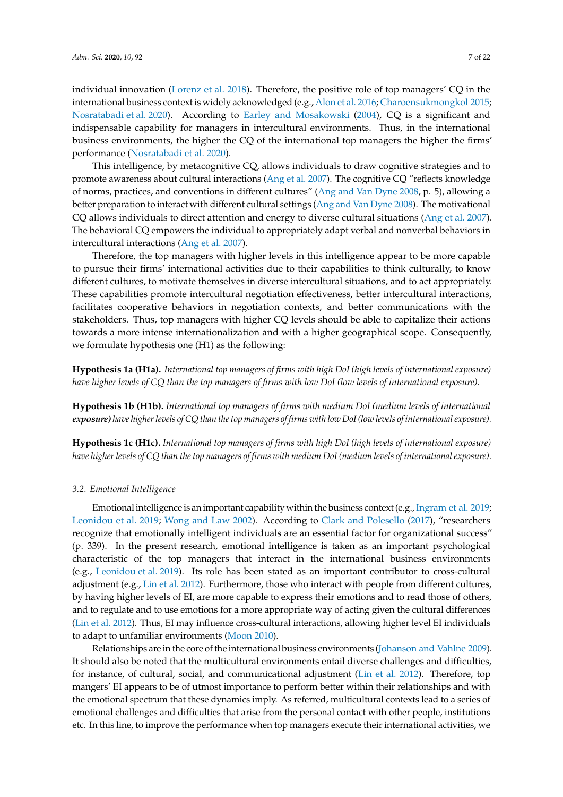individual innovation [\(Lorenz et al.](#page-19-13) [2018\)](#page-19-13). Therefore, the positive role of top managers' CQ in the international business context is widely acknowledged (e.g., [Alon et al.](#page-16-5) [2016;](#page-16-5) [Charoensukmongkol](#page-17-8) [2015;](#page-17-8) [Nosratabadi et al.](#page-20-15) [2020\)](#page-20-15). According to [Earley and Mosakowski](#page-17-9) [\(2004\)](#page-17-9), CQ is a significant and indispensable capability for managers in intercultural environments. Thus, in the international business environments, the higher the CQ of the international top managers the higher the firms' performance [\(Nosratabadi et al.](#page-20-15) [2020\)](#page-20-15).

This intelligence, by metacognitive CQ, allows individuals to draw cognitive strategies and to promote awareness about cultural interactions [\(Ang et al.](#page-16-4) [2007\)](#page-16-4). The cognitive CQ "reflects knowledge of norms, practices, and conventions in different cultures" [\(Ang and Van Dyne](#page-16-6) [2008,](#page-16-6) p. 5), allowing a better preparation to interact with different cultural settings [\(Ang and Van Dyne](#page-16-6) [2008\)](#page-16-6). The motivational CQ allows individuals to direct attention and energy to diverse cultural situations [\(Ang et al.](#page-16-4) [2007\)](#page-16-4). The behavioral CQ empowers the individual to appropriately adapt verbal and nonverbal behaviors in intercultural interactions [\(Ang et al.](#page-16-4) [2007\)](#page-16-4).

Therefore, the top managers with higher levels in this intelligence appear to be more capable to pursue their firms' international activities due to their capabilities to think culturally, to know different cultures, to motivate themselves in diverse intercultural situations, and to act appropriately. These capabilities promote intercultural negotiation effectiveness, better intercultural interactions, facilitates cooperative behaviors in negotiation contexts, and better communications with the stakeholders. Thus, top managers with higher CQ levels should be able to capitalize their actions towards a more intense internationalization and with a higher geographical scope. Consequently, we formulate hypothesis one (H1) as the following:

**Hypothesis 1a (H1a).** *International top managers of firms with high DoI (high levels of international exposure) have higher levels of CQ than the top managers of firms with low DoI (low levels of international exposure).*

**Hypothesis 1b (H1b).** *International top managers of firms with medium DoI (medium levels of international exposure) have higher levels of CQ than the top managers of firms with low DoI (low levels of international exposure).*

**Hypothesis 1c (H1c).** *International top managers of firms with high DoI (high levels of international exposure) have higher levels of CQ than the top managers of firms with medium DoI (medium levels of international exposure).*

## *3.2. Emotional Intelligence*

Emotional intelligence is an important capability within the business context (e.g., [Ingram et al.](#page-18-12) [2019;](#page-18-12) [Leonidou et al.](#page-19-14) [2019;](#page-19-14) [Wong and Law](#page-21-7) [2002\)](#page-21-7). According to [Clark and Polesello](#page-17-5) [\(2017\)](#page-17-5), "researchers recognize that emotionally intelligent individuals are an essential factor for organizational success" (p. 339). In the present research, emotional intelligence is taken as an important psychological characteristic of the top managers that interact in the international business environments (e.g., [Leonidou et al.](#page-19-14) [2019\)](#page-19-14). Its role has been stated as an important contributor to cross-cultural adjustment (e.g., [Lin et al.](#page-19-12) [2012\)](#page-19-12). Furthermore, those who interact with people from different cultures, by having higher levels of EI, are more capable to express their emotions and to read those of others, and to regulate and to use emotions for a more appropriate way of acting given the cultural differences [\(Lin et al.](#page-19-12) [2012\)](#page-19-12). Thus, EI may influence cross-cultural interactions, allowing higher level EI individuals to adapt to unfamiliar environments [\(Moon](#page-19-3) [2010\)](#page-19-3).

Relationships are in the core of the international business environments [\(Johanson and Vahlne](#page-18-13) [2009\)](#page-18-13). It should also be noted that the multicultural environments entail diverse challenges and difficulties, for instance, of cultural, social, and communicational adjustment [\(Lin et al.](#page-19-12) [2012\)](#page-19-12). Therefore, top mangers' EI appears to be of utmost importance to perform better within their relationships and with the emotional spectrum that these dynamics imply. As referred, multicultural contexts lead to a series of emotional challenges and difficulties that arise from the personal contact with other people, institutions etc. In this line, to improve the performance when top managers execute their international activities, we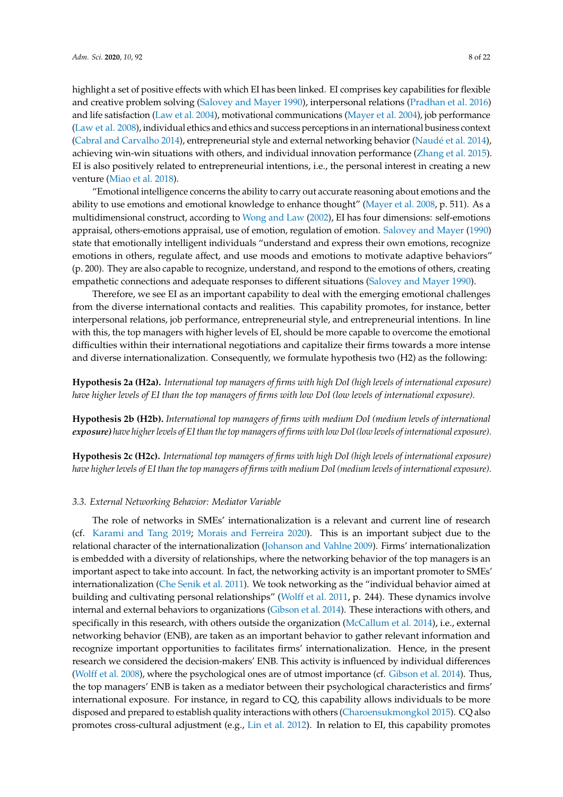highlight a set of positive effects with which EI has been linked. EI comprises key capabilities for flexible and creative problem solving [\(Salovey and Mayer](#page-20-16) [1990\)](#page-20-16), interpersonal relations [\(Pradhan et al.](#page-20-17) [2016\)](#page-20-17) and life satisfaction [\(Law et al.](#page-19-15) [2004\)](#page-19-15), motivational communications [\(Mayer et al.](#page-19-16) [2004\)](#page-19-16), job performance [\(Law et al.](#page-19-17) [2008\)](#page-19-17), individual ethics and ethics and success perceptions in an international business context [\(Cabral and Carvalho](#page-17-10) [2014\)](#page-17-10), entrepreneurial style and external networking behavior [\(Naud](#page-20-18)é et al. [2014\)](#page-20-18), achieving win-win situations with others, and individual innovation performance [\(Zhang et al.](#page-21-8) [2015\)](#page-21-8). EI is also positively related to entrepreneurial intentions, i.e., the personal interest in creating a new venture [\(Miao et al.](#page-19-18) [2018\)](#page-19-18).

"Emotional intelligence concerns the ability to carry out accurate reasoning about emotions and the ability to use emotions and emotional knowledge to enhance thought" [\(Mayer et al.](#page-19-19) [2008,](#page-19-19) p. 511). As a multidimensional construct, according to [Wong and Law](#page-21-7) [\(2002\)](#page-21-7), EI has four dimensions: self-emotions appraisal, others-emotions appraisal, use of emotion, regulation of emotion. [Salovey and Mayer](#page-20-16) [\(1990\)](#page-20-16) state that emotionally intelligent individuals "understand and express their own emotions, recognize emotions in others, regulate affect, and use moods and emotions to motivate adaptive behaviors" (p. 200). They are also capable to recognize, understand, and respond to the emotions of others, creating empathetic connections and adequate responses to different situations [\(Salovey and Mayer](#page-20-16) [1990\)](#page-20-16).

Therefore, we see EI as an important capability to deal with the emerging emotional challenges from the diverse international contacts and realities. This capability promotes, for instance, better interpersonal relations, job performance, entrepreneurial style, and entrepreneurial intentions. In line with this, the top managers with higher levels of EI, should be more capable to overcome the emotional difficulties within their international negotiations and capitalize their firms towards a more intense and diverse internationalization. Consequently, we formulate hypothesis two (H2) as the following:

**Hypothesis 2a (H2a).** *International top managers of firms with high DoI (high levels of international exposure) have higher levels of EI than the top managers of firms with low DoI (low levels of international exposure).*

**Hypothesis 2b (H2b).** *International top managers of firms with medium DoI (medium levels of international exposure) have higher levels of EI than the top managers of firms with low DoI (low levels of international exposure).*

**Hypothesis 2c (H2c).** *International top managers of firms with high DoI (high levels of international exposure) have higher levels of EI than the top managers of firms with medium DoI (medium levels of international exposure).*

# *3.3. External Networking Behavior: Mediator Variable*

The role of networks in SMEs' internationalization is a relevant and current line of research (cf. [Karami and Tang](#page-18-14) [2019;](#page-18-14) [Morais and Ferreira](#page-19-1) [2020\)](#page-19-1). This is an important subject due to the relational character of the internationalization [\(Johanson and Vahlne](#page-18-13) [2009\)](#page-18-13). Firms' internationalization is embedded with a diversity of relationships, where the networking behavior of the top managers is an important aspect to take into account. In fact, the networking activity is an important promoter to SMEs' internationalization [\(Che Senik et al.](#page-17-11) [2011\)](#page-17-11). We took networking as the "individual behavior aimed at building and cultivating personal relationships" [\(Wolff et al.](#page-21-9) [2011,](#page-21-9) p. 244). These dynamics involve internal and external behaviors to organizations [\(Gibson et al.](#page-18-15) [2014\)](#page-18-15). These interactions with others, and specifically in this research, with others outside the organization [\(McCallum et al.](#page-19-20) [2014\)](#page-19-20), i.e., external networking behavior (ENB), are taken as an important behavior to gather relevant information and recognize important opportunities to facilitates firms' internationalization. Hence, in the present research we considered the decision-makers' ENB. This activity is influenced by individual differences [\(Wolff et al.](#page-21-10) [2008\)](#page-21-10), where the psychological ones are of utmost importance (cf. [Gibson et al.](#page-18-15) [2014\)](#page-18-15). Thus, the top managers' ENB is taken as a mediator between their psychological characteristics and firms' international exposure. For instance, in regard to CQ, this capability allows individuals to be more disposed and prepared to establish quality interactions with others [\(Charoensukmongkol](#page-17-8) [2015\)](#page-17-8). CQ also promotes cross-cultural adjustment (e.g., [Lin et al.](#page-19-12) [2012\)](#page-19-12). In relation to EI, this capability promotes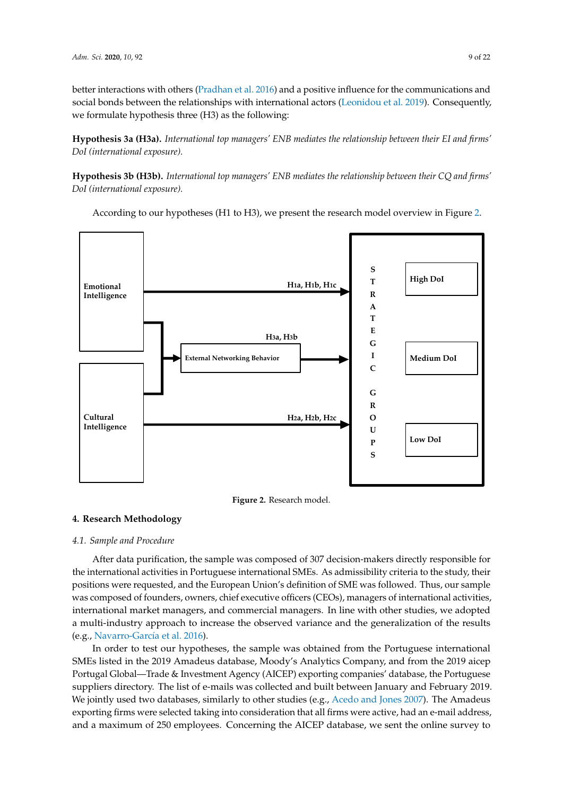better interactions with others [\(Pradhan et al.](#page-20-17) [2016\)](#page-20-17) and a positive influence for the communications and social bonds between the relationships with international actors [\(Leonidou et al.](#page-19-14) [2019\)](#page-19-14). Consequently, we formulate hypothesis three (H3) as the following:

**Hypothesis 3a (H3a).** *International top managers' ENB mediates the relationship between their EI and firms' Hypothermational exposure Properties the relationship between the relationship between the relationship between the relationship between the relationship between the relationship between the relationship between the r* 

**Hypothesis 3b (H3b).** *International top managers' ENB mediates the relationship between their CQ and firms' Hypothermational exposure International exposure ENB mediates the relationship between the relationship between the relationship between the relationship between the relationship between the relationship between the* 

According to our hypotheses (H1 to H3), we present the research model overview in Figure [2.](#page-8-0) According to our hypotheses (H1 to H3), we present the research model overview in Figure 2.

<span id="page-8-0"></span>

**Figure 2.** Research model. **Figure 2.** Research model.

# **4. Research Methodology**

# *4.1. Sample and Procedure*

*4.1. Sample and Procedure*  After data purification, the sample was composed of 307 decision-makers directly responsible for the international activities in Portuguese international SMEs. As admissibility criteria to the study, their positions were requested, and the European Union's definition of SME was followed. Thus, our sample was composed of founders, owners, chief executive officers (CEOs), managers of international activities, international market managers, and commercial managers. In line with other studies, we adopted a multi-industry approach to increase the observed variance and the generalization of the results (e.g., Navarro-García et al. [2016\)](#page-20-6).

In order to test our hypotheses, the sample was obtained from the Portuguese international SMEs listed in the 2019 Amadeus database, Moody's Analytics Company, and from the 2019 aicep Portugal Global—Trade & Investment Agency (AICEP) exporting companies' database, the Portuguese suppliers directory. The list of e-mails was collected and built between January and February 2019.  $\overline{\text{P}}$  i 1 exporting firms were selected taking into consideration that all firms were active, had an e-mail address,  $T_{\rm eff}$  amadeus exporting firms were selected to consider the  $\Lambda$   $\overline{\rm CCD}$  detection that all first were active, had all first weak taking were active, the consideration of  $250$  consideration  $\overline{\rm CCD}$  detections we and a maximum of 250 employees. Concerning the AICEP database, we sent the online survey to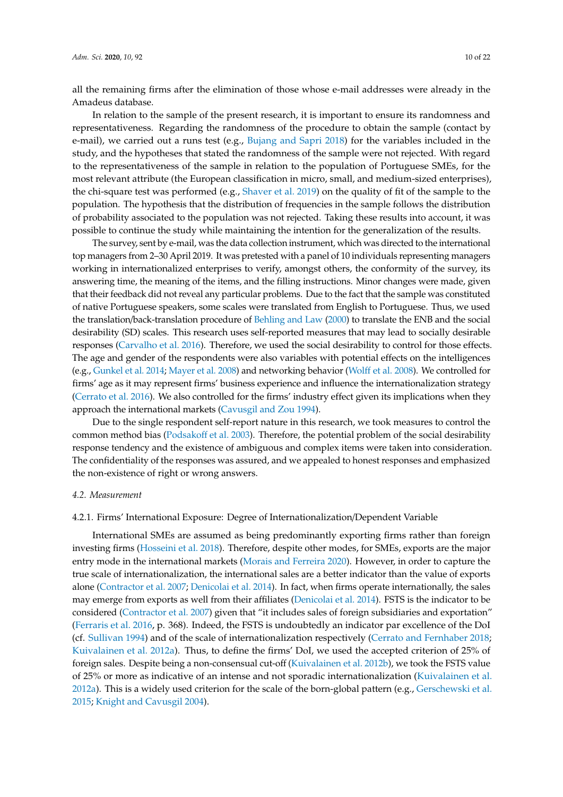all the remaining firms after the elimination of those whose e-mail addresses were already in the Amadeus database.

In relation to the sample of the present research, it is important to ensure its randomness and representativeness. Regarding the randomness of the procedure to obtain the sample (contact by e-mail), we carried out a runs test (e.g., [Bujang and Sapri](#page-17-12) [2018\)](#page-17-12) for the variables included in the study, and the hypotheses that stated the randomness of the sample were not rejected. With regard to the representativeness of the sample in relation to the population of Portuguese SMEs, for the most relevant attribute (the European classification in micro, small, and medium-sized enterprises), the chi-square test was performed (e.g., [Shaver et al.](#page-21-11) [2019\)](#page-21-11) on the quality of fit of the sample to the population. The hypothesis that the distribution of frequencies in the sample follows the distribution of probability associated to the population was not rejected. Taking these results into account, it was possible to continue the study while maintaining the intention for the generalization of the results.

The survey, sent by e-mail, was the data collection instrument, which was directed to the international top managers from 2–30 April 2019. It was pretested with a panel of 10 individuals representing managers working in internationalized enterprises to verify, amongst others, the conformity of the survey, its answering time, the meaning of the items, and the filling instructions. Minor changes were made, given that their feedback did not reveal any particular problems. Due to the fact that the sample was constituted of native Portuguese speakers, some scales were translated from English to Portuguese. Thus, we used the translation/back-translation procedure of [Behling and Law](#page-17-13) [\(2000\)](#page-17-13) to translate the ENB and the social desirability (SD) scales. This research uses self-reported measures that may lead to socially desirable responses [\(Carvalho et al.](#page-17-14) [2016\)](#page-17-14). Therefore, we used the social desirability to control for those effects. The age and gender of the respondents were also variables with potential effects on the intelligences (e.g., [Gunkel et al.](#page-18-16) [2014;](#page-18-16) [Mayer et al.](#page-19-19) [2008\)](#page-19-19) and networking behavior [\(Wolff et al.](#page-21-10) [2008\)](#page-21-10). We controlled for firms' age as it may represent firms' business experience and influence the internationalization strategy [\(Cerrato et al.](#page-17-3) [2016\)](#page-17-3). We also controlled for the firms' industry effect given its implications when they approach the international markets [\(Cavusgil and Zou](#page-17-15) [1994\)](#page-17-15).

Due to the single respondent self-report nature in this research, we took measures to control the common method bias [\(Podsako](#page-20-19)ff et al. [2003\)](#page-20-19). Therefore, the potential problem of the social desirability response tendency and the existence of ambiguous and complex items were taken into consideration. The confidentiality of the responses was assured, and we appealed to honest responses and emphasized the non-existence of right or wrong answers.

#### *4.2. Measurement*

#### 4.2.1. Firms' International Exposure: Degree of Internationalization/Dependent Variable

International SMEs are assumed as being predominantly exporting firms rather than foreign investing firms [\(Hosseini et al.](#page-18-7) [2018\)](#page-18-7). Therefore, despite other modes, for SMEs, exports are the major entry mode in the international markets [\(Morais and Ferreira](#page-19-1) [2020\)](#page-19-1). However, in order to capture the true scale of internationalization, the international sales are a better indicator than the value of exports alone [\(Contractor et al.](#page-17-16) [2007;](#page-17-16) [Denicolai et al.](#page-17-17) [2014\)](#page-17-17). In fact, when firms operate internationally, the sales may emerge from exports as well from their affiliates [\(Denicolai et al.](#page-17-17) [2014\)](#page-17-17). FSTS is the indicator to be considered [\(Contractor et al.](#page-17-16) [2007\)](#page-17-16) given that "it includes sales of foreign subsidiaries and exportation" [\(Ferraris et al.](#page-18-17) [2016,](#page-18-17) p. 368). Indeed, the FSTS is undoubtedly an indicator par excellence of the DoI (cf. [Sullivan](#page-21-3) [1994\)](#page-21-3) and of the scale of internationalization respectively [\(Cerrato and Fernhaber](#page-17-0) [2018;](#page-17-0) [Kuivalainen et al.](#page-19-5) [2012a\)](#page-19-5). Thus, to define the firms' DoI, we used the accepted criterion of 25% of foreign sales. Despite being a non-consensual cut-off [\(Kuivalainen et al.](#page-19-4) [2012b\)](#page-19-4), we took the FSTS value of 25% or more as indicative of an intense and not sporadic internationalization [\(Kuivalainen et al.](#page-19-5) [2012a\)](#page-19-5). This is a widely used criterion for the scale of the born-global pattern (e.g., [Gerschewski et al.](#page-18-18) [2015;](#page-18-18) [Knight and Cavusgil](#page-18-19) [2004\)](#page-18-19).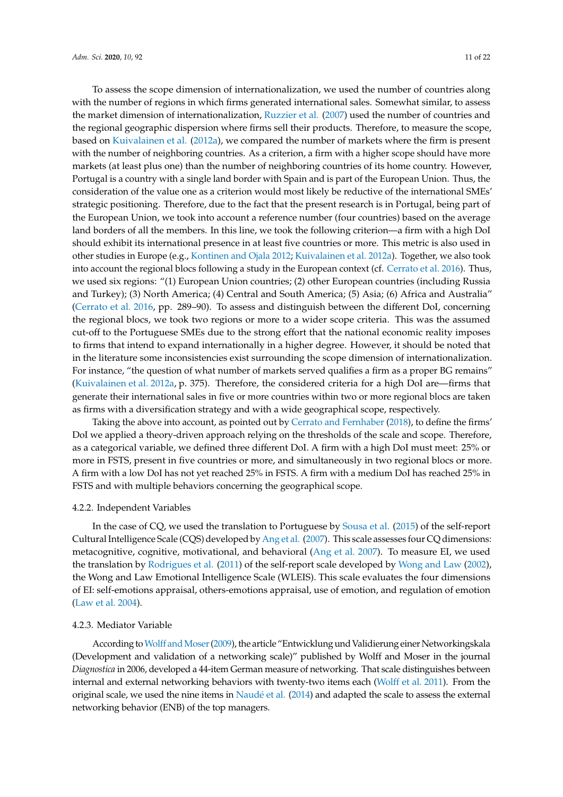To assess the scope dimension of internationalization, we used the number of countries along with the number of regions in which firms generated international sales. Somewhat similar, to assess the market dimension of internationalization, [Ruzzier et al.](#page-20-13) [\(2007\)](#page-20-13) used the number of countries and the regional geographic dispersion where firms sell their products. Therefore, to measure the scope, based on [Kuivalainen et al.](#page-19-5) [\(2012a\)](#page-19-5), we compared the number of markets where the firm is present with the number of neighboring countries. As a criterion, a firm with a higher scope should have more markets (at least plus one) than the number of neighboring countries of its home country. However, Portugal is a country with a single land border with Spain and is part of the European Union. Thus, the consideration of the value one as a criterion would most likely be reductive of the international SMEs' strategic positioning. Therefore, due to the fact that the present research is in Portugal, being part of the European Union, we took into account a reference number (four countries) based on the average land borders of all the members. In this line, we took the following criterion—a firm with a high DoI should exhibit its international presence in at least five countries or more. This metric is also used in other studies in Europe (e.g., [Kontinen and Ojala](#page-18-20) [2012;](#page-18-20) [Kuivalainen et al.](#page-19-5) [2012a\)](#page-19-5). Together, we also took into account the regional blocs following a study in the European context (cf. [Cerrato et al.](#page-17-3) [2016\)](#page-17-3). Thus, we used six regions: "(1) European Union countries; (2) other European countries (including Russia and Turkey); (3) North America; (4) Central and South America; (5) Asia; (6) Africa and Australia" [\(Cerrato et al.](#page-17-3) [2016,](#page-17-3) pp. 289–90). To assess and distinguish between the different DoI, concerning the regional blocs, we took two regions or more to a wider scope criteria. This was the assumed cut-off to the Portuguese SMEs due to the strong effort that the national economic reality imposes to firms that intend to expand internationally in a higher degree. However, it should be noted that in the literature some inconsistencies exist surrounding the scope dimension of internationalization. For instance, "the question of what number of markets served qualifies a firm as a proper BG remains" [\(Kuivalainen et al.](#page-19-5) [2012a,](#page-19-5) p. 375). Therefore, the considered criteria for a high DoI are—firms that generate their international sales in five or more countries within two or more regional blocs are taken as firms with a diversification strategy and with a wide geographical scope, respectively.

Taking the above into account, as pointed out by [Cerrato and Fernhaber](#page-17-0) [\(2018\)](#page-17-0), to define the firms' DoI we applied a theory-driven approach relying on the thresholds of the scale and scope. Therefore, as a categorical variable, we defined three different DoI. A firm with a high DoI must meet: 25% or more in FSTS, present in five countries or more, and simultaneously in two regional blocs or more. A firm with a low DoI has not yet reached 25% in FSTS. A firm with a medium DoI has reached 25% in FSTS and with multiple behaviors concerning the geographical scope.

#### 4.2.2. Independent Variables

In the case of CQ, we used the translation to Portuguese by [Sousa et al.](#page-21-12) [\(2015\)](#page-21-12) of the self-report Cultural Intelligence Scale (CQS) developed by [Ang et al.](#page-16-4) [\(2007\)](#page-16-4). This scale assesses four CQ dimensions: metacognitive, cognitive, motivational, and behavioral [\(Ang et al.](#page-16-4) [2007\)](#page-16-4). To measure EI, we used the translation by [Rodrigues et al.](#page-20-20) [\(2011\)](#page-20-20) of the self-report scale developed by [Wong and Law](#page-21-7) [\(2002\)](#page-21-7), the Wong and Law Emotional Intelligence Scale (WLEIS). This scale evaluates the four dimensions of EI: self-emotions appraisal, others-emotions appraisal, use of emotion, and regulation of emotion [\(Law et al.](#page-19-15) [2004\)](#page-19-15).

# 4.2.3. Mediator Variable

According to Wolff and Moser (2009), the article "Entwicklung und Validierung einer Networkingskala (Development and validation of a networking scale)" published by Wolff and Moser in the journal *Diagnostica* in 2006, developed a 44-item German measure of networking. That scale distinguishes between internal and external networking behaviors with twenty-two items each [\(Wolff et al.](#page-21-9) [2011\)](#page-21-9). From the original scale, we used the nine items in [Naud](#page-20-18)é et al. [\(2014\)](#page-20-18) and adapted the scale to assess the external networking behavior (ENB) of the top managers.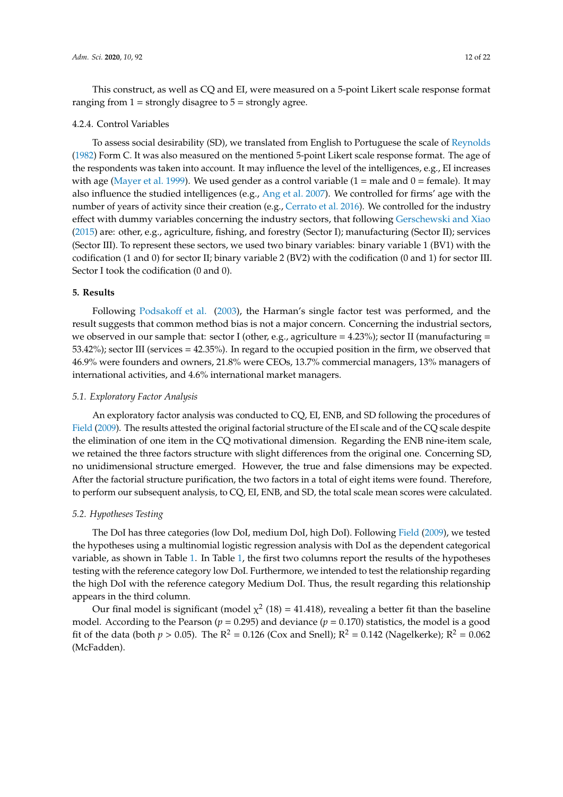This construct, as well as CQ and EI, were measured on a 5-point Likert scale response format ranging from  $1 =$  strongly disagree to  $5 =$  strongly agree.

## 4.2.4. Control Variables

To assess social desirability (SD), we translated from English to Portuguese the scale of [Reynolds](#page-20-21) [\(1982\)](#page-20-21) Form C. It was also measured on the mentioned 5-point Likert scale response format. The age of the respondents was taken into account. It may influence the level of the intelligences, e.g., EI increases with age [\(Mayer et al.](#page-19-21) [1999\)](#page-19-21). We used gender as a control variable  $(1 = male and 0 = female)$ . It may also influence the studied intelligences (e.g., [Ang et al.](#page-16-4) [2007\)](#page-16-4). We controlled for firms' age with the number of years of activity since their creation (e.g., [Cerrato et al.](#page-17-3) [2016\)](#page-17-3). We controlled for the industry effect with dummy variables concerning the industry sectors, that following [Gerschewski and Xiao](#page-18-21) [\(2015\)](#page-18-21) are: other, e.g., agriculture, fishing, and forestry (Sector I); manufacturing (Sector II); services (Sector III). To represent these sectors, we used two binary variables: binary variable 1 (BV1) with the codification (1 and 0) for sector II; binary variable 2 (BV2) with the codification (0 and 1) for sector III. Sector I took the codification (0 and 0).

# **5. Results**

Following [Podsako](#page-20-19)ff et al. [\(2003\)](#page-20-19), the Harman's single factor test was performed, and the result suggests that common method bias is not a major concern. Concerning the industrial sectors, we observed in our sample that: sector I (other, e.g., agriculture =  $4.23\%$ ); sector II (manufacturing = 53.42%); sector III (services = 42.35%). In regard to the occupied position in the firm, we observed that 46.9% were founders and owners, 21.8% were CEOs, 13.7% commercial managers, 13% managers of international activities, and 4.6% international market managers.

# *5.1. Exploratory Factor Analysis*

An exploratory factor analysis was conducted to CQ, EI, ENB, and SD following the procedures of [Field](#page-18-22) [\(2009\)](#page-18-22). The results attested the original factorial structure of the EI scale and of the CQ scale despite the elimination of one item in the CQ motivational dimension. Regarding the ENB nine-item scale, we retained the three factors structure with slight differences from the original one. Concerning SD, no unidimensional structure emerged. However, the true and false dimensions may be expected. After the factorial structure purification, the two factors in a total of eight items were found. Therefore, to perform our subsequent analysis, to CQ, EI, ENB, and SD, the total scale mean scores were calculated.

#### *5.2. Hypotheses Testing*

The DoI has three categories (low DoI, medium DoI, high DoI). Following [Field](#page-18-22) [\(2009\)](#page-18-22), we tested the hypotheses using a multinomial logistic regression analysis with DoI as the dependent categorical variable, as shown in Table [1.](#page-12-0) In Table [1,](#page-12-0) the first two columns report the results of the hypotheses testing with the reference category low DoI. Furthermore, we intended to test the relationship regarding the high DoI with the reference category Medium DoI. Thus, the result regarding this relationship appears in the third column.

Our final model is significant (model  $\chi^2$  (18) = 41.418), revealing a better fit than the baseline model. According to the Pearson ( $p = 0.295$ ) and deviance ( $p = 0.170$ ) statistics, the model is a good fit of the data (both  $p > 0.05$ ). The  $R^2 = 0.126$  (Cox and Snell);  $R^2 = 0.142$  (Nagelkerke);  $R^2 = 0.062$ (McFadden).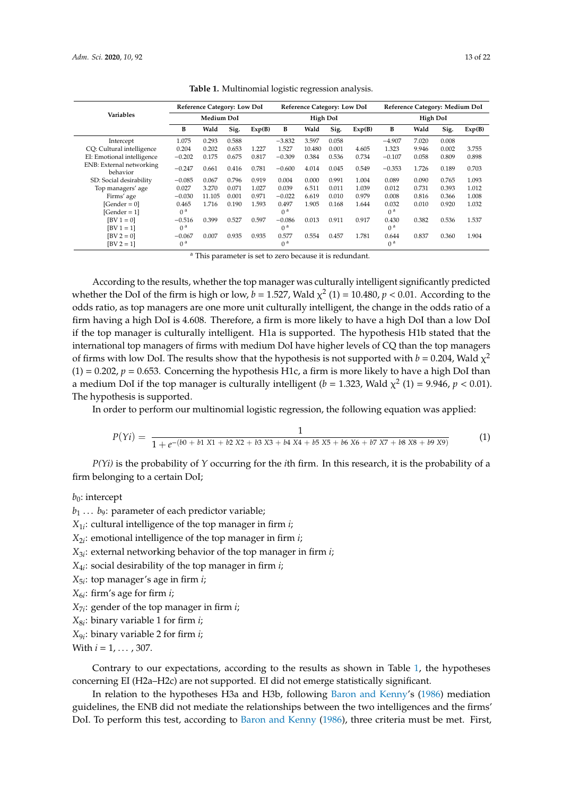<span id="page-12-0"></span>

|                |        |       |        |                             |        |       |        | Reference Category: Medium DoI |       |       |        |
|----------------|--------|-------|--------|-----------------------------|--------|-------|--------|--------------------------------|-------|-------|--------|
| Medium DoI     |        |       |        | High DoI                    |        |       |        | <b>High DoI</b>                |       |       |        |
| B              | Wald   | Sig.  | Exp(B) | B                           | Wald   | Sig.  | Exp(B) | В                              | Wald  | Sig.  | Exp(B) |
| 1.075          | 0.293  | 0.588 |        | $-3.832$                    | 3.597  | 0.058 |        | $-4.907$                       | 7.020 | 0.008 |        |
| 0.204          | 0.202  | 0.653 | 1.227  | 1.527                       | 10.480 | 0.001 | 4.605  | 1.323                          | 9.946 | 0.002 | 3.755  |
| $-0.202$       | 0.175  | 0.675 | 0.817  | $-0.309$                    | 0.384  | 0.536 | 0.734  | $-0.107$                       | 0.058 | 0.809 | 0.898  |
| $-0.247$       | 0.661  | 0.416 | 0.781  | $-0.600$                    | 4.014  | 0.045 | 0.549  | $-0.353$                       | 1.726 | 0.189 | 0.703  |
| $-0.085$       | 0.067  | 0.796 | 0.919  | 0.004                       | 0.000  | 0.991 | 1.004  | 0.089                          | 0.090 | 0.765 | 1.093  |
| 0.027          | 3.270  | 0.071 | 1.027  | 0.039                       | 6.511  | 0.011 | 1.039  | 0.012                          | 0.731 | 0.393 | 1.012  |
| $-0.030$       | 11.105 | 0.001 | 0.971  | $-0.022$                    | 6.619  | 0.010 | 0.979  | 0.008                          | 0.816 | 0.366 | 1.008  |
| 0.465          | 1.716  | 0.190 | 1.593  | 0.497                       | 1.905  | 0.168 | 1.644  | 0.032                          | 0.010 | 0.920 | 1.032  |
| 0 <sup>a</sup> |        |       |        | 0 <sup>a</sup>              |        |       |        | 0 <sup>a</sup>                 |       |       |        |
| $-0.516$       | 0.399  | 0.527 | 0.597  | $-0.086$                    | 0.013  | 0.911 | 0.917  | 0.430                          | 0.382 | 0.536 | 1.537  |
| 0 <sup>a</sup> |        |       |        | 0 <sup>a</sup>              |        |       |        | 0 <sup>a</sup>                 |       |       |        |
| $-0.067$       | 0.007  | 0.935 | 0.935  | 0.577                       | 0.554  | 0.457 | 1.781  | 0.644                          | 0.837 | 0.360 | 1.904  |
| 0 <sup>a</sup> |        |       |        | 0 <sup>a</sup>              |        |       |        | 0 <sup>a</sup>                 |       |       |        |
|                |        |       |        | Reference Category: Low DoI |        |       |        | Reference Category: Low DoI    |       |       |        |

**Table 1.** Multinomial logistic regression analysis.

<sup>a</sup> This parameter is set to zero because it is redundant.

According to the results, whether the top manager was culturally intelligent significantly predicted whether the DoI of the firm is high or low,  $b = 1.527$ , Wald  $\chi^2$  (1) = 10.480,  $p < 0.01$ . According to the odds ratio, as top managers are one more unit culturally intelligent, the change in the odds ratio of a firm having a high DoI is 4.608. Therefore, a firm is more likely to have a high DoI than a low DoI if the top manager is culturally intelligent. H1a is supported. The hypothesis H1b stated that the international top managers of firms with medium DoI have higher levels of CQ than the top managers of firms with low DoI. The results show that the hypothesis is not supported with  $b = 0.204$ , Wald  $\chi^2$  $(1) = 0.202$ ,  $p = 0.653$ . Concerning the hypothesis H1c, a firm is more likely to have a high DoI than a medium DoI if the top manager is culturally intelligent ( $b = 1.323$ , Wald  $\chi^2$  (1) = 9.946,  $p < 0.01$ ). The hypothesis is supported.

In order to perform our multinomial logistic regression, the following equation was applied:

$$
P(Yi) = \frac{1}{1 + e^{-(b0 + b1 X1 + b2 X2 + b3 X3 + b4 X4 + b5 X5 + b6 X6 + b7 X7 + b8 X8 + b9 X9)}}(1)
$$

*P(Yi)* is the probability of *Y* occurring for the *i*th firm. In this research, it is the probability of a firm belonging to a certain DoI;

## $b_0$ : intercept

 $b_1 \ldots b_9$ : parameter of each predictor variable; *X*1*<sup>i</sup>* : cultural intelligence of the top manager in firm *i*; *X*2*<sup>i</sup>* : emotional intelligence of the top manager in firm *i*; *X*3*<sup>i</sup>* : external networking behavior of the top manager in firm *i*; *X*4*<sup>i</sup>* : social desirability of the top manager in firm *i*; *X*5*<sup>i</sup>* : top manager's age in firm *i*; *X*6*<sup>i</sup>* : firm's age for firm *i*; *X*7*<sup>i</sup>* : gender of the top manager in firm *i*; *X*8*<sup>i</sup>* : binary variable 1 for firm *i*; *X*9*<sup>i</sup>* : binary variable 2 for firm *i*; With  $i = 1, \ldots, 307$ .

Contrary to our expectations, according to the results as shown in Table [1,](#page-12-0) the hypotheses concerning EI (H2a–H2c) are not supported. EI did not emerge statistically significant.

In relation to the hypotheses H3a and H3b, following [Baron and Kenny'](#page-17-18)s [\(1986\)](#page-17-18) mediation guidelines, the ENB did not mediate the relationships between the two intelligences and the firms' DoI. To perform this test, according to [Baron and Kenny](#page-17-18) [\(1986\)](#page-17-18), three criteria must be met. First,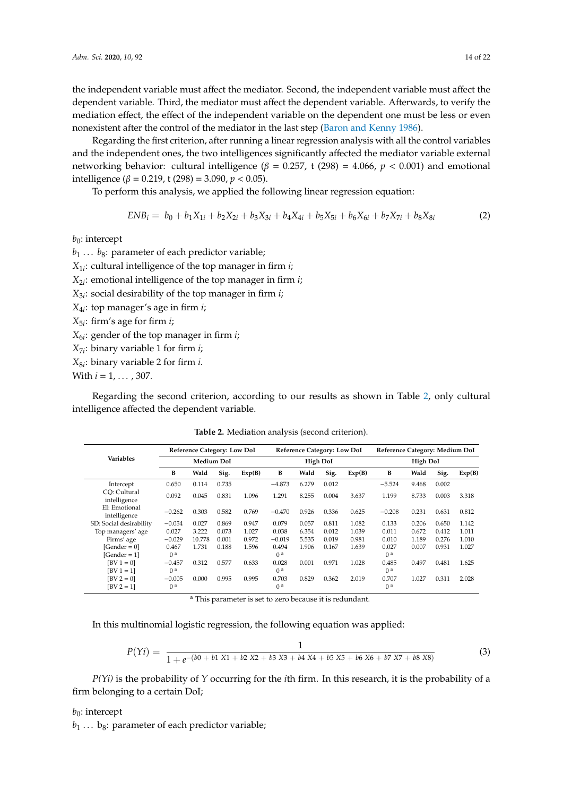the independent variable must affect the mediator. Second, the independent variable must affect the dependent variable. Third, the mediator must affect the dependent variable. Afterwards, to verify the mediation effect, the effect of the independent variable on the dependent one must be less or even nonexistent after the control of the mediator in the last step [\(Baron and Kenny](#page-17-18) [1986\)](#page-17-18).

Regarding the first criterion, after running a linear regression analysis with all the control variables and the independent ones, the two intelligences significantly affected the mediator variable external networking behavior: cultural intelligence ( $\beta = 0.257$ , t (298) = 4.066,  $p < 0.001$ ) and emotional intelligence ( $β = 0.219$ , t (298) = 3.090,  $p < 0.05$ ).

To perform this analysis, we applied the following linear regression equation:

$$
ENB_i = b_0 + b_1 X_{1i} + b_2 X_{2i} + b_3 X_{3i} + b_4 X_{4i} + b_5 X_{5i} + b_6 X_{6i} + b_7 X_{7i} + b_8 X_{8i}
$$
 (2)

*b*<sub>0</sub>: intercept

*b*<sub>1</sub> . . . *b*<sub>8</sub>: parameter of each predictor variable; *X*1*<sup>i</sup>* : cultural intelligence of the top manager in firm *i*; *X*2*<sup>i</sup>* : emotional intelligence of the top manager in firm *i*; *X*3*<sup>i</sup>* : social desirability of the top manager in firm *i*; *X*4*<sup>i</sup>* : top manager's age in firm *i*; *X*5*<sup>i</sup>* : firm's age for firm *i*; *X*6*<sup>i</sup>* : gender of the top manager in firm *i*; *X*7*<sup>i</sup>* : binary variable 1 for firm *i*; *X*8*<sup>i</sup>* : binary variable 2 for firm *i*.

With  $i = 1, \ldots, 307$ .

Regarding the second criterion, according to our results as shown in Table [2,](#page-13-0) only cultural intelligence affected the dependent variable.

<span id="page-13-0"></span>

|                               | <b>Reference Category: Low DoI</b> |        |       |        | Reference Category: Low DoI |       |       |        | Reference Category: Medium DoI |       |       |        |
|-------------------------------|------------------------------------|--------|-------|--------|-----------------------------|-------|-------|--------|--------------------------------|-------|-------|--------|
| <b>Variables</b>              | Medium DoI                         |        |       |        | <b>High DoI</b>             |       |       |        | <b>High DoI</b>                |       |       |        |
|                               | B                                  | Wald   | Sig.  | Exp(B) | В                           | Wald  | Sig.  | Exp(B) | В                              | Wald  | Sig.  | Exp(B) |
| Intercept                     | 0.650                              | 0.114  | 0.735 |        | $-4.873$                    | 6.279 | 0.012 |        | $-5.524$                       | 9.468 | 0.002 |        |
| CO: Cultural<br>intelligence  | 0.092                              | 0.045  | 0.831 | 1.096  | 1.291                       | 8.255 | 0.004 | 3.637  | 1.199                          | 8.733 | 0.003 | 3.318  |
| EI: Emotional<br>intelligence | $-0.262$                           | 0.303  | 0.582 | 0.769  | $-0.470$                    | 0.926 | 0.336 | 0.625  | $-0.208$                       | 0.231 | 0.631 | 0.812  |
| SD: Social desirability       | $-0.054$                           | 0.027  | 0.869 | 0.947  | 0.079                       | 0.057 | 0.811 | 1.082  | 0.133                          | 0.206 | 0.650 | 1.142  |
| Top managers' age             | 0.027                              | 3.222  | 0.073 | 1.027  | 0.038                       | 6.354 | 0.012 | 1.039  | 0.011                          | 0.672 | 0.412 | 1.011  |
| Firms' age                    | $-0.029$                           | 10.778 | 0.001 | 0.972  | $-0.019$                    | 5.535 | 0.019 | 0.981  | 0.010                          | 1.189 | 0.276 | 1.010  |
| [Gender = 0]                  | 0.467                              | 1.731  | 0.188 | 1.596  | 0.494                       | 1.906 | 0.167 | 1.639  | 0.027                          | 0.007 | 0.931 | 1.027  |
| [Gender = 1]                  | 0 <sup>a</sup>                     |        |       |        | 0 <sup>a</sup>              |       |       |        | 0 <sup>a</sup>                 |       |       |        |
| $[BV 1 = 0]$                  | $-0.457$                           | 0.312  | 0.577 | 0.633  | 0.028                       | 0.001 | 0.971 | 1.028  | 0.485                          | 0.497 | 0.481 | 1.625  |
| $[BV 1 = 1]$                  | 0 <sup>a</sup>                     |        |       |        | 0 <sup>a</sup>              |       |       |        | 0 <sup>a</sup>                 |       |       |        |
| $[BV 2 = 0]$                  | $-0.005$                           | 0.000  | 0.995 | 0.995  | 0.703                       | 0.829 | 0.362 | 2.019  | 0.707                          | 1.027 | 0.311 | 2.028  |
| $[BV 2 = 1]$                  | 0 <sup>a</sup>                     |        |       |        | 0 <sup>a</sup>              |       |       |        | 0 <sup>a</sup>                 |       |       |        |

**Table 2.** Mediation analysis (second criterion).

<sup>a</sup> This parameter is set to zero because it is redundant.

In this multinomial logistic regression, the following equation was applied:

$$
P(Yi) = \frac{1}{1 + e^{-(b0 + b1 X1 + b2 X2 + b3 X3 + b4 X4 + b5 X5 + b6 X6 + b7 X7 + b8 X8)}}
$$
(3)

*P(Yi)* is the probability of *Y* occurring for the *i*th firm. In this research, it is the probability of a firm belonging to a certain DoI;

# $b_0$ : intercept

 $b_1 \ldots b_8$ : parameter of each predictor variable;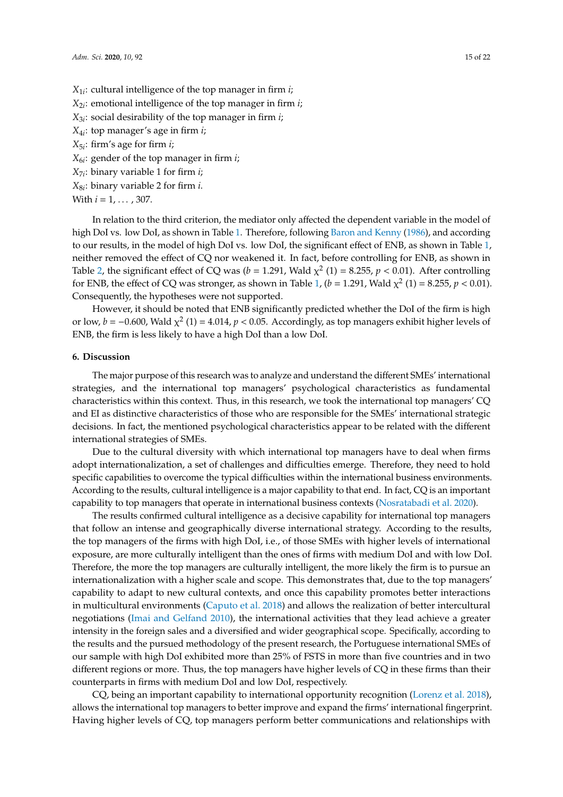*X*1*<sup>i</sup>* : cultural intelligence of the top manager in firm *i*; *X*2*<sup>i</sup>* : emotional intelligence of the top manager in firm *i*; *X*3*<sup>i</sup>* : social desirability of the top manager in firm *i*; *X*4*<sup>i</sup>* : top manager's age in firm *i*; *X*5*<sup>i</sup>* : firm's age for firm *i*; *X*6*<sup>i</sup>* : gender of the top manager in firm *i*; *X*7*<sup>i</sup>* : binary variable 1 for firm *i*; *X*8*<sup>i</sup>* : binary variable 2 for firm *i*. With  $i = 1, \ldots, 307$ .

In relation to the third criterion, the mediator only affected the dependent variable in the model of high DoI vs. low DoI, as shown in Table [1.](#page-12-0) Therefore, following [Baron and Kenny](#page-17-18) [\(1986\)](#page-17-18), and according to our results, in the model of high DoI vs. low DoI, the significant effect of ENB, as shown in Table [1,](#page-12-0) neither removed the effect of CQ nor weakened it. In fact, before controlling for ENB, as shown in Table [2,](#page-13-0) the significant effect of CQ was ( $b = 1.291$ , Wald  $\chi^2$  (1) = 8.255,  $p < 0.01$ ). After controlling for ENB, the effect of CQ was stronger, as shown in Table [1,](#page-12-0) ( $b = 1.291$ , Wald  $\chi^2$  (1) = 8.255,  $p < 0.01$ ). Consequently, the hypotheses were not supported.

However, it should be noted that ENB significantly predicted whether the DoI of the firm is high or low,  $b = -0.600$ , Wald  $\chi^2$  (1) = 4.014,  $p < 0.05$ . Accordingly, as top managers exhibit higher levels of ENB, the firm is less likely to have a high DoI than a low DoI.

# **6. Discussion**

The major purpose of this research was to analyze and understand the different SMEs' international strategies, and the international top managers' psychological characteristics as fundamental characteristics within this context. Thus, in this research, we took the international top managers' CQ and EI as distinctive characteristics of those who are responsible for the SMEs' international strategic decisions. In fact, the mentioned psychological characteristics appear to be related with the different international strategies of SMEs.

Due to the cultural diversity with which international top managers have to deal when firms adopt internationalization, a set of challenges and difficulties emerge. Therefore, they need to hold specific capabilities to overcome the typical difficulties within the international business environments. According to the results, cultural intelligence is a major capability to that end. In fact, CQ is an important capability to top managers that operate in international business contexts [\(Nosratabadi et al.](#page-20-15) [2020\)](#page-20-15).

The results confirmed cultural intelligence as a decisive capability for international top managers that follow an intense and geographically diverse international strategy. According to the results, the top managers of the firms with high DoI, i.e., of those SMEs with higher levels of international exposure, are more culturally intelligent than the ones of firms with medium DoI and with low DoI. Therefore, the more the top managers are culturally intelligent, the more likely the firm is to pursue an internationalization with a higher scale and scope. This demonstrates that, due to the top managers' capability to adapt to new cultural contexts, and once this capability promotes better interactions in multicultural environments [\(Caputo et al.](#page-17-7) [2018\)](#page-17-7) and allows the realization of better intercultural negotiations [\(Imai and Gelfand](#page-18-10) [2010\)](#page-18-10), the international activities that they lead achieve a greater intensity in the foreign sales and a diversified and wider geographical scope. Specifically, according to the results and the pursued methodology of the present research, the Portuguese international SMEs of our sample with high DoI exhibited more than 25% of FSTS in more than five countries and in two different regions or more. Thus, the top managers have higher levels of CQ in these firms than their counterparts in firms with medium DoI and low DoI, respectively.

CQ, being an important capability to international opportunity recognition [\(Lorenz et al.](#page-19-13) [2018\)](#page-19-13), allows the international top managers to better improve and expand the firms' international fingerprint. Having higher levels of CQ, top managers perform better communications and relationships with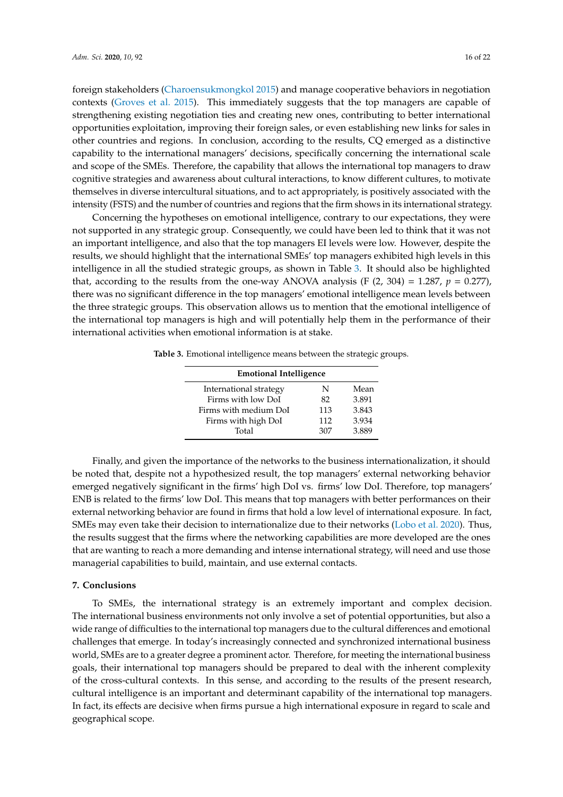foreign stakeholders [\(Charoensukmongkol](#page-17-8) [2015\)](#page-17-8) and manage cooperative behaviors in negotiation contexts [\(Groves et al.](#page-18-11) [2015\)](#page-18-11). This immediately suggests that the top managers are capable of strengthening existing negotiation ties and creating new ones, contributing to better international opportunities exploitation, improving their foreign sales, or even establishing new links for sales in other countries and regions. In conclusion, according to the results, CQ emerged as a distinctive capability to the international managers' decisions, specifically concerning the international scale and scope of the SMEs. Therefore, the capability that allows the international top managers to draw cognitive strategies and awareness about cultural interactions, to know different cultures, to motivate themselves in diverse intercultural situations, and to act appropriately, is positively associated with the intensity (FSTS) and the number of countries and regions that the firm shows in its international strategy.

Concerning the hypotheses on emotional intelligence, contrary to our expectations, they were not supported in any strategic group. Consequently, we could have been led to think that it was not an important intelligence, and also that the top managers EI levels were low. However, despite the results, we should highlight that the international SMEs' top managers exhibited high levels in this intelligence in all the studied strategic groups, as shown in Table [3.](#page-15-0) It should also be highlighted that, according to the results from the one-way ANOVA analysis (F  $(2, 304) = 1.287$ ,  $p = 0.277$ ), there was no significant difference in the top managers' emotional intelligence mean levels between the three strategic groups. This observation allows us to mention that the emotional intelligence of the international top managers is high and will potentially help them in the performance of their international activities when emotional information is at stake.

<span id="page-15-0"></span>

| Table 3. Emotional intelligence means between the strategic groups. |  |
|---------------------------------------------------------------------|--|
|                                                                     |  |

| <b>Emotional Intelligence</b> |     |       |  |  |  |  |  |
|-------------------------------|-----|-------|--|--|--|--|--|
| International strategy        | N   | Mean  |  |  |  |  |  |
| Firms with low DoI            | 82  | 3.891 |  |  |  |  |  |
| Firms with medium DoI         | 113 | 3.843 |  |  |  |  |  |
| Firms with high DoI           | 112 | 3.934 |  |  |  |  |  |
| Total                         | 307 | 3.889 |  |  |  |  |  |

Finally, and given the importance of the networks to the business internationalization, it should be noted that, despite not a hypothesized result, the top managers' external networking behavior emerged negatively significant in the firms' high DoI vs. firms' low DoI. Therefore, top managers' ENB is related to the firms' low DoI. This means that top managers with better performances on their external networking behavior are found in firms that hold a low level of international exposure. In fact, SMEs may even take their decision to internationalize due to their networks [\(Lobo et al.](#page-19-2) [2020\)](#page-19-2). Thus, the results suggest that the firms where the networking capabilities are more developed are the ones that are wanting to reach a more demanding and intense international strategy, will need and use those managerial capabilities to build, maintain, and use external contacts.

# **7. Conclusions**

To SMEs, the international strategy is an extremely important and complex decision. The international business environments not only involve a set of potential opportunities, but also a wide range of difficulties to the international top managers due to the cultural differences and emotional challenges that emerge. In today's increasingly connected and synchronized international business world, SMEs are to a greater degree a prominent actor. Therefore, for meeting the international business goals, their international top managers should be prepared to deal with the inherent complexity of the cross-cultural contexts. In this sense, and according to the results of the present research, cultural intelligence is an important and determinant capability of the international top managers. In fact, its effects are decisive when firms pursue a high international exposure in regard to scale and geographical scope.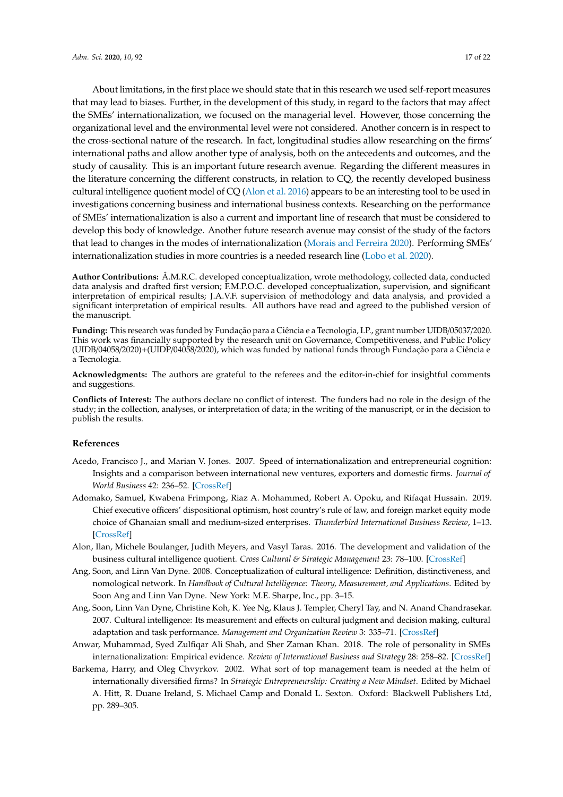About limitations, in the first place we should state that in this research we used self-report measures that may lead to biases. Further, in the development of this study, in regard to the factors that may affect the SMEs' internationalization, we focused on the managerial level. However, those concerning the organizational level and the environmental level were not considered. Another concern is in respect to the cross-sectional nature of the research. In fact, longitudinal studies allow researching on the firms' international paths and allow another type of analysis, both on the antecedents and outcomes, and the study of causality. This is an important future research avenue. Regarding the different measures in the literature concerning the different constructs, in relation to CQ, the recently developed business cultural intelligence quotient model of CQ [\(Alon et al.](#page-16-5) [2016\)](#page-16-5) appears to be an interesting tool to be used in investigations concerning business and international business contexts. Researching on the performance of SMEs' internationalization is also a current and important line of research that must be considered to develop this body of knowledge. Another future research avenue may consist of the study of the factors that lead to changes in the modes of internationalization [\(Morais and Ferreira](#page-19-1) [2020\)](#page-19-1). Performing SMEs' internationalization studies in more countries is a needed research line [\(Lobo et al.](#page-19-2) [2020\)](#page-19-2).

**Author Contributions:** Â.M.R.C. developed conceptualization, wrote methodology, collected data, conducted data analysis and drafted first version; F.M.P.O.C. developed conceptualization, supervision, and significant interpretation of empirical results; J.A.V.F. supervision of methodology and data analysis, and provided a significant interpretation of empirical results. All authors have read and agreed to the published version of the manuscript.

**Funding:** This research was funded by Fundação para a Ciência e a Tecnologia, I.P., grant number UIDB/05037/2020. This work was financially supported by the research unit on Governance, Competitiveness, and Public Policy (UIDB/04058/2020)+(UIDP/04058/2020), which was funded by national funds through Fundação para a Ciência e a Tecnologia.

**Acknowledgments:** The authors are grateful to the referees and the editor-in-chief for insightful comments and suggestions.

**Conflicts of Interest:** The authors declare no conflict of interest. The funders had no role in the design of the study; in the collection, analyses, or interpretation of data; in the writing of the manuscript, or in the decision to publish the results.

# **References**

- <span id="page-16-3"></span>Acedo, Francisco J., and Marian V. Jones. 2007. Speed of internationalization and entrepreneurial cognition: Insights and a comparison between international new ventures, exporters and domestic firms. *Journal of World Business* 42: 236–52. [\[CrossRef\]](http://dx.doi.org/10.1016/j.jwb.2007.04.012)
- <span id="page-16-0"></span>Adomako, Samuel, Kwabena Frimpong, Riaz A. Mohammed, Robert A. Opoku, and Rifaqat Hussain. 2019. Chief executive officers' dispositional optimism, host country's rule of law, and foreign market equity mode choice of Ghanaian small and medium-sized enterprises. *Thunderbird International Business Review*, 1–13. [\[CrossRef\]](http://dx.doi.org/10.1002/tie.22109)
- <span id="page-16-5"></span>Alon, Ilan, Michele Boulanger, Judith Meyers, and Vasyl Taras. 2016. The development and validation of the business cultural intelligence quotient. *Cross Cultural & Strategic Management* 23: 78–100. [\[CrossRef\]](http://dx.doi.org/10.1108/CCSM-10-2015-0138)
- <span id="page-16-6"></span>Ang, Soon, and Linn Van Dyne. 2008. Conceptualization of cultural intelligence: Definition, distinctiveness, and nomological network. In *Handbook of Cultural Intelligence: Theory, Measurement, and Applications*. Edited by Soon Ang and Linn Van Dyne. New York: M.E. Sharpe, Inc., pp. 3–15.
- <span id="page-16-4"></span>Ang, Soon, Linn Van Dyne, Christine Koh, K. Yee Ng, Klaus J. Templer, Cheryl Tay, and N. Anand Chandrasekar. 2007. Cultural intelligence: Its measurement and effects on cultural judgment and decision making, cultural adaptation and task performance. *Management and Organization Review* 3: 335–71. [\[CrossRef\]](http://dx.doi.org/10.1111/j.1740-8784.2007.00082.x)
- <span id="page-16-1"></span>Anwar, Muhammad, Syed Zulfiqar Ali Shah, and Sher Zaman Khan. 2018. The role of personality in SMEs internationalization: Empirical evidence. *Review of International Business and Strategy* 28: 258–82. [\[CrossRef\]](http://dx.doi.org/10.1108/RIBS-12-2017-0113)
- <span id="page-16-2"></span>Barkema, Harry, and Oleg Chvyrkov. 2002. What sort of top management team is needed at the helm of internationally diversified firms? In *Strategic Entrepreneurship: Creating a New Mindset*. Edited by Michael A. Hitt, R. Duane Ireland, S. Michael Camp and Donald L. Sexton. Oxford: Blackwell Publishers Ltd, pp. 289–305.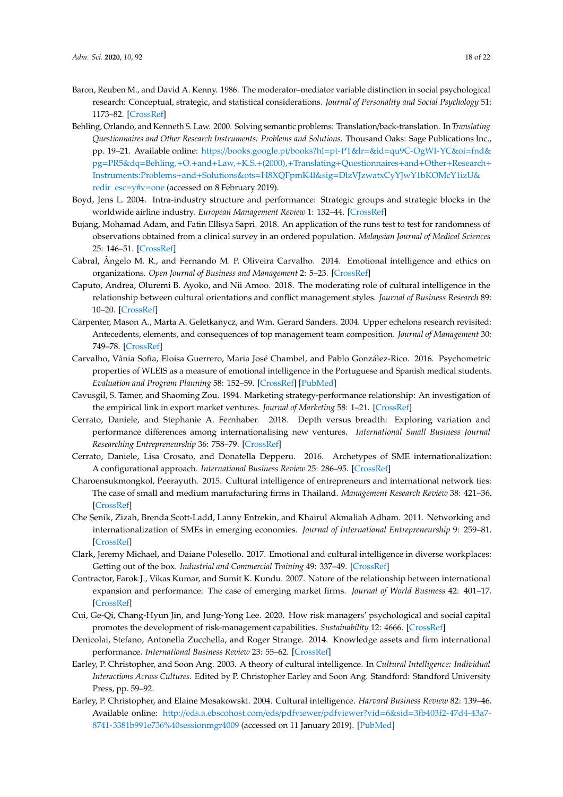- <span id="page-17-18"></span>Baron, Reuben M., and David A. Kenny. 1986. The moderator–mediator variable distinction in social psychological research: Conceptual, strategic, and statistical considerations. *Journal of Personality and Social Psychology* 51: 1173–82. [\[CrossRef\]](http://dx.doi.org/10.1037/0022-3514.51.6.1173)
- <span id="page-17-13"></span>Behling, Orlando, and Kenneth S. Law. 2000. Solving semantic problems: Translation/back-translation. In *Translating Questionnaires and Other Research Instruments: Problems and Solutions*. Thousand Oaks: Sage Publications Inc., pp. 19–21. Available online: https://books.google.pt/books?hl=pt-PT&lr=&id=[qu9C-OgWI-YC&oi](https://books.google.pt/books?hl=pt-PT&lr=&id=qu9C-OgWI-YC&oi=fnd&pg=PR5&dq=Behling,+O.+and+Law,+K.S.+(2000),+Translating+Questionnaires+and+Other+Research+Instruments:Problems+and+Solutions&ots=H8XQFpmK4l&sig=DlzVJzwatxCyYJwY1bKOMcY1izU&redir_esc=y#v=one)=fnd& pg=PR5&dq=Behling,+O.+and+Law,+K.S.+(2000),+Translating+[Questionnaires](https://books.google.pt/books?hl=pt-PT&lr=&id=qu9C-OgWI-YC&oi=fnd&pg=PR5&dq=Behling,+O.+and+Law,+K.S.+(2000),+Translating+Questionnaires+and+Other+Research+Instruments:Problems+and+Solutions&ots=H8XQFpmK4l&sig=DlzVJzwatxCyYJwY1bKOMcY1izU&redir_esc=y#v=one)+and+Other+Research+ Instruments:Problems+and+Solutions&ots=H8XQFpmK4l&sig=[DlzVJzwatxCyYJwY1bKOMcY1izU&](https://books.google.pt/books?hl=pt-PT&lr=&id=qu9C-OgWI-YC&oi=fnd&pg=PR5&dq=Behling,+O.+and+Law,+K.S.+(2000),+Translating+Questionnaires+and+Other+Research+Instruments:Problems+and+Solutions&ots=H8XQFpmK4l&sig=DlzVJzwatxCyYJwY1bKOMcY1izU&redir_esc=y#v=one) [redir\\_esc](https://books.google.pt/books?hl=pt-PT&lr=&id=qu9C-OgWI-YC&oi=fnd&pg=PR5&dq=Behling,+O.+and+Law,+K.S.+(2000),+Translating+Questionnaires+and+Other+Research+Instruments:Problems+and+Solutions&ots=H8XQFpmK4l&sig=DlzVJzwatxCyYJwY1bKOMcY1izU&redir_esc=y#v=one)=y#v=one (accessed on 8 February 2019).
- <span id="page-17-4"></span>Boyd, Jens L. 2004. Intra-industry structure and performance: Strategic groups and strategic blocks in the worldwide airline industry. *European Management Review* 1: 132–44. [\[CrossRef\]](http://dx.doi.org/10.1057/palgrave.emr.1500018)
- <span id="page-17-12"></span>Bujang, Mohamad Adam, and Fatin Ellisya Sapri. 2018. An application of the runs test to test for randomness of observations obtained from a clinical survey in an ordered population. *Malaysian Journal of Medical Sciences* 25: 146–51. [\[CrossRef\]](http://dx.doi.org/10.21315/mjms2018.25.4.15)
- <span id="page-17-10"></span>Cabral, Ângelo M. R., and Fernando M. P. Oliveira Carvalho. 2014. Emotional intelligence and ethics on organizations. *Open Journal of Business and Management* 2: 5–23. [\[CrossRef\]](http://dx.doi.org/10.4236/ojbm.2014.21004)
- <span id="page-17-7"></span>Caputo, Andrea, Oluremi B. Ayoko, and Nii Amoo. 2018. The moderating role of cultural intelligence in the relationship between cultural orientations and conflict management styles. *Journal of Business Research* 89: 10–20. [\[CrossRef\]](http://dx.doi.org/10.1016/j.jbusres.2018.03.042)
- <span id="page-17-2"></span>Carpenter, Mason A., Marta A. Geletkanycz, and Wm. Gerard Sanders. 2004. Upper echelons research revisited: Antecedents, elements, and consequences of top management team composition. *Journal of Management* 30: 749–78. [\[CrossRef\]](http://dx.doi.org/10.1016/j.jm.2004.06.001)
- <span id="page-17-14"></span>Carvalho, Vânia Sofia, Eloísa Guerrero, Maria José Chambel, and Pablo González-Rico. 2016. Psychometric properties of WLEIS as a measure of emotional intelligence in the Portuguese and Spanish medical students. *Evaluation and Program Planning* 58: 152–59. [\[CrossRef\]](http://dx.doi.org/10.1016/j.evalprogplan.2016.06.006) [\[PubMed\]](http://www.ncbi.nlm.nih.gov/pubmed/27376749)
- <span id="page-17-15"></span>Cavusgil, S. Tamer, and Shaoming Zou. 1994. Marketing strategy-performance relationship: An investigation of the empirical link in export market ventures. *Journal of Marketing* 58: 1–21. [\[CrossRef\]](http://dx.doi.org/10.1177/002224299405800101)
- <span id="page-17-0"></span>Cerrato, Daniele, and Stephanie A. Fernhaber. 2018. Depth versus breadth: Exploring variation and performance differences among internationalising new ventures. *International Small Business Journal Researching Entrepreneurship* 36: 758–79. [\[CrossRef\]](http://dx.doi.org/10.1177/0266242618783309)
- <span id="page-17-3"></span>Cerrato, Daniele, Lisa Crosato, and Donatella Depperu. 2016. Archetypes of SME internationalization: A configurational approach. *International Business Review* 25: 286–95. [\[CrossRef\]](http://dx.doi.org/10.1016/j.ibusrev.2015.05.010)
- <span id="page-17-8"></span>Charoensukmongkol, Peerayuth. 2015. Cultural intelligence of entrepreneurs and international network ties: The case of small and medium manufacturing firms in Thailand. *Management Research Review* 38: 421–36. [\[CrossRef\]](http://dx.doi.org/10.1108/MRR-09-2013-0214)
- <span id="page-17-11"></span>Che Senik, Zizah, Brenda Scott-Ladd, Lanny Entrekin, and Khairul Akmaliah Adham. 2011. Networking and internationalization of SMEs in emerging economies. *Journal of International Entrepreneurship* 9: 259–81. [\[CrossRef\]](http://dx.doi.org/10.1007/s10843-011-0078-x)
- <span id="page-17-5"></span>Clark, Jeremy Michael, and Daiane Polesello. 2017. Emotional and cultural intelligence in diverse workplaces: Getting out of the box. *Industrial and Commercial Training* 49: 337–49. [\[CrossRef\]](http://dx.doi.org/10.1108/ICT-06-2017-0040)
- <span id="page-17-16"></span>Contractor, Farok J., Vikas Kumar, and Sumit K. Kundu. 2007. Nature of the relationship between international expansion and performance: The case of emerging market firms. *Journal of World Business* 42: 401–17. [\[CrossRef\]](http://dx.doi.org/10.1016/j.jwb.2007.06.003)
- <span id="page-17-1"></span>Cui, Ge-Qi, Chang-Hyun Jin, and Jung-Yong Lee. 2020. How risk managers' psychological and social capital promotes the development of risk-management capabilities. *Sustainability* 12: 4666. [\[CrossRef\]](http://dx.doi.org/10.3390/su12114666)
- <span id="page-17-17"></span>Denicolai, Stefano, Antonella Zucchella, and Roger Strange. 2014. Knowledge assets and firm international performance. *International Business Review* 23: 55–62. [\[CrossRef\]](http://dx.doi.org/10.1016/j.ibusrev.2013.08.004)
- <span id="page-17-6"></span>Earley, P. Christopher, and Soon Ang. 2003. A theory of cultural intelligence. In *Cultural Intelligence: Individual Interactions Across Cultures*. Edited by P. Christopher Earley and Soon Ang. Standford: Standford University Press, pp. 59–92.
- <span id="page-17-9"></span>Earley, P. Christopher, and Elaine Mosakowski. 2004. Cultural intelligence. *Harvard Business Review* 82: 139–46. Available online: http://[eds.a.ebscohost.com](http://eds.a.ebscohost.com/eds/ pdfviewer/pdfviewer?vid=6&sid=3fb403f2-47d4-43a7-8741-3381b991e736%40sessi onmgr4009)/eds/pdfviewer/pdfviewer?vid=6&sid=3fb403f2-47d4-43a7- [8741-3381b991e736%40sessionmgr4009](http://eds.a.ebscohost.com/eds/ pdfviewer/pdfviewer?vid=6&sid=3fb403f2-47d4-43a7-8741-3381b991e736%40sessi onmgr4009) (accessed on 11 January 2019). [\[PubMed\]](http://www.ncbi.nlm.nih.gov/pubmed/15559582)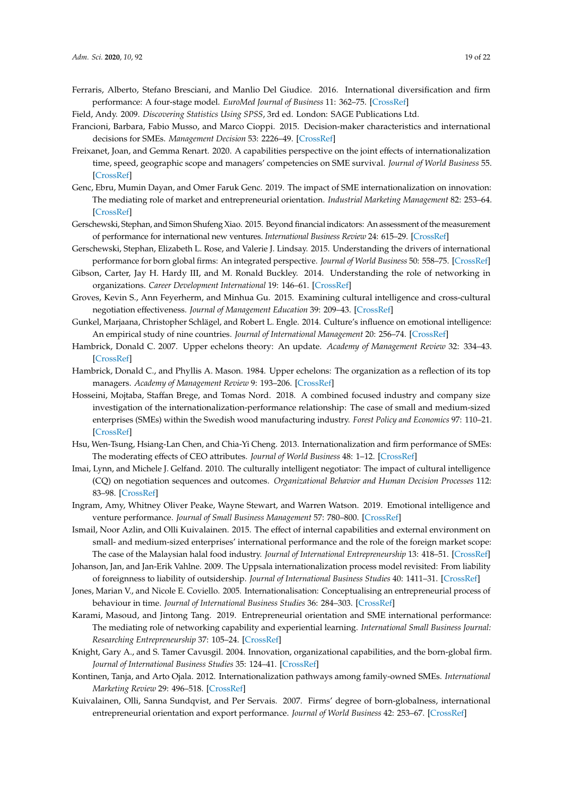- <span id="page-18-17"></span>Ferraris, Alberto, Stefano Bresciani, and Manlio Del Giudice. 2016. International diversification and firm performance: A four-stage model. *EuroMed Journal of Business* 11: 362–75. [\[CrossRef\]](http://dx.doi.org/10.1108/EMJB-10-2015-0048)
- <span id="page-18-22"></span>Field, Andy. 2009. *Discovering Statistics Using SPSS*, 3rd ed. London: SAGE Publications Ltd.
- <span id="page-18-3"></span>Francioni, Barbara, Fabio Musso, and Marco Cioppi. 2015. Decision-maker characteristics and international decisions for SMEs. *Management Decision* 53: 2226–49. [\[CrossRef\]](http://dx.doi.org/10.1108/MD-03-2015-0094)
- <span id="page-18-9"></span>Freixanet, Joan, and Gemma Renart. 2020. A capabilities perspective on the joint effects of internationalization time, speed, geographic scope and managers' competencies on SME survival. *Journal of World Business* 55. [\[CrossRef\]](http://dx.doi.org/10.1016/j.jwb.2020.101110)
- <span id="page-18-1"></span>Genc, Ebru, Mumin Dayan, and Omer Faruk Genc. 2019. The impact of SME internationalization on innovation: The mediating role of market and entrepreneurial orientation. *Industrial Marketing Management* 82: 253–64. [\[CrossRef\]](http://dx.doi.org/10.1016/j.indmarman.2019.01.008)
- <span id="page-18-21"></span>Gerschewski, Stephan, and Simon Shufeng Xiao. 2015. Beyond financial indicators: An assessment of the measurement of performance for international new ventures. *International Business Review* 24: 615–29. [\[CrossRef\]](http://dx.doi.org/10.1016/j.ibusrev.2014.11.003)
- <span id="page-18-18"></span>Gerschewski, Stephan, Elizabeth L. Rose, and Valerie J. Lindsay. 2015. Understanding the drivers of international performance for born global firms: An integrated perspective. *Journal of World Business* 50: 558–75. [\[CrossRef\]](http://dx.doi.org/10.1016/j.jwb.2014.09.001)
- <span id="page-18-15"></span>Gibson, Carter, Jay H. Hardy III, and M. Ronald Buckley. 2014. Understanding the role of networking in organizations. *Career Development International* 19: 146–61. [\[CrossRef\]](http://dx.doi.org/10.1108/CDI-09-2013-0111)
- <span id="page-18-11"></span>Groves, Kevin S., Ann Feyerherm, and Minhua Gu. 2015. Examining cultural intelligence and cross-cultural negotiation effectiveness. *Journal of Management Education* 39: 209–43. [\[CrossRef\]](http://dx.doi.org/10.1177/1052562914543273)
- <span id="page-18-16"></span>Gunkel, Marjaana, Christopher Schlägel, and Robert L. Engle. 2014. Culture's influence on emotional intelligence: An empirical study of nine countries. *Journal of International Management* 20: 256–74. [\[CrossRef\]](http://dx.doi.org/10.1016/j.intman.2013.10.002)
- <span id="page-18-4"></span>Hambrick, Donald C. 2007. Upper echelons theory: An update. *Academy of Management Review* 32: 334–43. [\[CrossRef\]](http://dx.doi.org/10.5465/amr.2007.24345254)
- <span id="page-18-5"></span>Hambrick, Donald C., and Phyllis A. Mason. 1984. Upper echelons: The organization as a reflection of its top managers. *Academy of Management Review* 9: 193–206. [\[CrossRef\]](http://dx.doi.org/10.5465/amr.1984.4277628)
- <span id="page-18-7"></span>Hosseini, Mojtaba, Staffan Brege, and Tomas Nord. 2018. A combined focused industry and company size investigation of the internationalization-performance relationship: The case of small and medium-sized enterprises (SMEs) within the Swedish wood manufacturing industry. *Forest Policy and Economics* 97: 110–21. [\[CrossRef\]](http://dx.doi.org/10.1016/j.forpol.2018.09.013)
- <span id="page-18-2"></span>Hsu, Wen-Tsung, Hsiang-Lan Chen, and Chia-Yi Cheng. 2013. Internationalization and firm performance of SMEs: The moderating effects of CEO attributes. *Journal of World Business* 48: 1–12. [\[CrossRef\]](http://dx.doi.org/10.1016/j.jwb.2012.06.001)
- <span id="page-18-10"></span>Imai, Lynn, and Michele J. Gelfand. 2010. The culturally intelligent negotiator: The impact of cultural intelligence (CQ) on negotiation sequences and outcomes. *Organizational Behavior and Human Decision Processes* 112: 83–98. [\[CrossRef\]](http://dx.doi.org/10.1016/j.obhdp.2010.02.001)
- <span id="page-18-12"></span>Ingram, Amy, Whitney Oliver Peake, Wayne Stewart, and Warren Watson. 2019. Emotional intelligence and venture performance. *Journal of Small Business Management* 57: 780–800. [\[CrossRef\]](http://dx.doi.org/10.1111/jsbm.12333)
- <span id="page-18-8"></span>Ismail, Noor Azlin, and Olli Kuivalainen. 2015. The effect of internal capabilities and external environment on small- and medium-sized enterprises' international performance and the role of the foreign market scope: The case of the Malaysian halal food industry. *Journal of International Entrepreneurship* 13: 418–51. [\[CrossRef\]](http://dx.doi.org/10.1007/s10843-015-0160-x)
- <span id="page-18-13"></span>Johanson, Jan, and Jan-Erik Vahlne. 2009. The Uppsala internationalization process model revisited: From liability of foreignness to liability of outsidership. *Journal of International Business Studies* 40: 1411–31. [\[CrossRef\]](http://dx.doi.org/10.1057/jibs.2009.24)
- <span id="page-18-0"></span>Jones, Marian V., and Nicole E. Coviello. 2005. Internationalisation: Conceptualising an entrepreneurial process of behaviour in time. *Journal of International Business Studies* 36: 284–303. [\[CrossRef\]](http://dx.doi.org/10.1057/palgrave.jibs.8400138)
- <span id="page-18-14"></span>Karami, Masoud, and Jintong Tang. 2019. Entrepreneurial orientation and SME international performance: The mediating role of networking capability and experiential learning. *International Small Business Journal: Researching Entrepreneurship* 37: 105–24. [\[CrossRef\]](http://dx.doi.org/10.1177/0266242618807275)
- <span id="page-18-19"></span>Knight, Gary A., and S. Tamer Cavusgil. 2004. Innovation, organizational capabilities, and the born-global firm. *Journal of International Business Studies* 35: 124–41. [\[CrossRef\]](http://dx.doi.org/10.1057/palgrave.jibs.8400071)
- <span id="page-18-20"></span>Kontinen, Tanja, and Arto Ojala. 2012. Internationalization pathways among family-owned SMEs. *International Marketing Review* 29: 496–518. [\[CrossRef\]](http://dx.doi.org/10.1108/02651331211260359)
- <span id="page-18-6"></span>Kuivalainen, Olli, Sanna Sundqvist, and Per Servais. 2007. Firms' degree of born-globalness, international entrepreneurial orientation and export performance. *Journal of World Business* 42: 253–67. [\[CrossRef\]](http://dx.doi.org/10.1016/j.jwb.2007.04.010)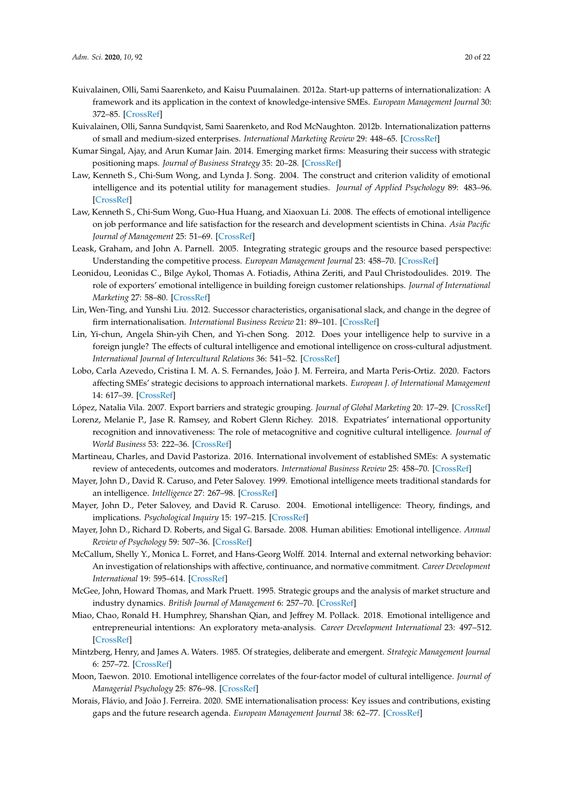- <span id="page-19-5"></span>Kuivalainen, Olli, Sami Saarenketo, and Kaisu Puumalainen. 2012a. Start-up patterns of internationalization: A framework and its application in the context of knowledge-intensive SMEs. *European Management Journal* 30: 372–85. [\[CrossRef\]](http://dx.doi.org/10.1016/j.emj.2012.01.001)
- <span id="page-19-4"></span>Kuivalainen, Olli, Sanna Sundqvist, Sami Saarenketo, and Rod McNaughton. 2012b. Internationalization patterns of small and medium-sized enterprises. *International Marketing Review* 29: 448–65. [\[CrossRef\]](http://dx.doi.org/10.1108/02651331211260331)
- <span id="page-19-0"></span>Kumar Singal, Ajay, and Arun Kumar Jain. 2014. Emerging market firms: Measuring their success with strategic positioning maps. *Journal of Business Strategy* 35: 20–28. [\[CrossRef\]](http://dx.doi.org/10.1108/JBS-04-2013-0026)
- <span id="page-19-15"></span>Law, Kenneth S., Chi-Sum Wong, and Lynda J. Song. 2004. The construct and criterion validity of emotional intelligence and its potential utility for management studies. *Journal of Applied Psychology* 89: 483–96. [\[CrossRef\]](http://dx.doi.org/10.1037/0021-9010.89.3.483)
- <span id="page-19-17"></span>Law, Kenneth S., Chi-Sum Wong, Guo-Hua Huang, and Xiaoxuan Li. 2008. The effects of emotional intelligence on job performance and life satisfaction for the research and development scientists in China. *Asia Pacific Journal of Management* 25: 51–69. [\[CrossRef\]](http://dx.doi.org/10.1007/s10490-007-9062-3)
- <span id="page-19-8"></span>Leask, Graham, and John A. Parnell. 2005. Integrating strategic groups and the resource based perspective: Understanding the competitive process. *European Management Journal* 23: 458–70. [\[CrossRef\]](http://dx.doi.org/10.1016/j.emj.2005.06.003)
- <span id="page-19-14"></span>Leonidou, Leonidas C., Bilge Aykol, Thomas A. Fotiadis, Athina Zeriti, and Paul Christodoulides. 2019. The role of exporters' emotional intelligence in building foreign customer relationships. *Journal of International Marketing* 27: 58–80. [\[CrossRef\]](http://dx.doi.org/10.1177/1069031X19876642)
- <span id="page-19-11"></span>Lin, Wen-Ting, and Yunshi Liu. 2012. Successor characteristics, organisational slack, and change in the degree of firm internationalisation. *International Business Review* 21: 89–101. [\[CrossRef\]](http://dx.doi.org/10.1016/j.ibusrev.2011.01.001)
- <span id="page-19-12"></span>Lin, Yi-chun, Angela Shin-yih Chen, and Yi-chen Song. 2012. Does your intelligence help to survive in a foreign jungle? The effects of cultural intelligence and emotional intelligence on cross-cultural adjustment. *International Journal of Intercultural Relations* 36: 541–52. [\[CrossRef\]](http://dx.doi.org/10.1016/j.ijintrel.2012.03.001)
- <span id="page-19-2"></span>Lobo, Carla Azevedo, Cristina I. M. A. S. Fernandes, João J. M. Ferreira, and Marta Peris-Ortiz. 2020. Factors affecting SMEs' strategic decisions to approach international markets. *European J. of International Management* 14: 617–39. [\[CrossRef\]](http://dx.doi.org/10.1504/EJIM.2020.107607)
- <span id="page-19-7"></span>López, Natalia Vila. 2007. Export barriers and strategic grouping. *Journal of Global Marketing* 20: 17–29. [\[CrossRef\]](http://dx.doi.org/10.1300/J042v20n02_03)
- <span id="page-19-13"></span>Lorenz, Melanie P., Jase R. Ramsey, and Robert Glenn Richey. 2018. Expatriates' international opportunity recognition and innovativeness: The role of metacognitive and cognitive cultural intelligence. *Journal of World Business* 53: 222–36. [\[CrossRef\]](http://dx.doi.org/10.1016/j.jwb.2017.11.004)
- <span id="page-19-10"></span>Martineau, Charles, and David Pastoriza. 2016. International involvement of established SMEs: A systematic review of antecedents, outcomes and moderators. *International Business Review* 25: 458–70. [\[CrossRef\]](http://dx.doi.org/10.1016/j.ibusrev.2015.07.005)
- <span id="page-19-21"></span>Mayer, John D., David R. Caruso, and Peter Salovey. 1999. Emotional intelligence meets traditional standards for an intelligence. *Intelligence* 27: 267–98. [\[CrossRef\]](http://dx.doi.org/10.1016/S0160-2896(99)00016-1)
- <span id="page-19-16"></span>Mayer, John D., Peter Salovey, and David R. Caruso. 2004. Emotional intelligence: Theory, findings, and implications. *Psychological Inquiry* 15: 197–215. [\[CrossRef\]](http://dx.doi.org/10.1207/s15327965pli1503_02)
- <span id="page-19-19"></span>Mayer, John D., Richard D. Roberts, and Sigal G. Barsade. 2008. Human abilities: Emotional intelligence. *Annual Review of Psychology* 59: 507–36. [\[CrossRef\]](http://dx.doi.org/10.1146/annurev.psych.59.103006.093646)
- <span id="page-19-20"></span>McCallum, Shelly Y., Monica L. Forret, and Hans-Georg Wolff. 2014. Internal and external networking behavior: An investigation of relationships with affective, continuance, and normative commitment. *Career Development International* 19: 595–614. [\[CrossRef\]](http://dx.doi.org/10.1108/CDI-08-2013-0101)
- <span id="page-19-6"></span>McGee, John, Howard Thomas, and Mark Pruett. 1995. Strategic groups and the analysis of market structure and industry dynamics. *British Journal of Management* 6: 257–70. [\[CrossRef\]](http://dx.doi.org/10.1111/j.1467-8551.1995.tb00099.x)
- <span id="page-19-18"></span>Miao, Chao, Ronald H. Humphrey, Shanshan Qian, and Jeffrey M. Pollack. 2018. Emotional intelligence and entrepreneurial intentions: An exploratory meta-analysis. *Career Development International* 23: 497–512. [\[CrossRef\]](http://dx.doi.org/10.1108/CDI-01-2018-0019)
- <span id="page-19-9"></span>Mintzberg, Henry, and James A. Waters. 1985. Of strategies, deliberate and emergent. *Strategic Management Journal* 6: 257–72. [\[CrossRef\]](http://dx.doi.org/10.1002/smj.4250060306)
- <span id="page-19-3"></span>Moon, Taewon. 2010. Emotional intelligence correlates of the four-factor model of cultural intelligence. *Journal of Managerial Psychology* 25: 876–98. [\[CrossRef\]](http://dx.doi.org/10.1108/02683941011089134)
- <span id="page-19-1"></span>Morais, Flávio, and João J. Ferreira. 2020. SME internationalisation process: Key issues and contributions, existing gaps and the future research agenda. *European Management Journal* 38: 62–77. [\[CrossRef\]](http://dx.doi.org/10.1016/j.emj.2019.08.001)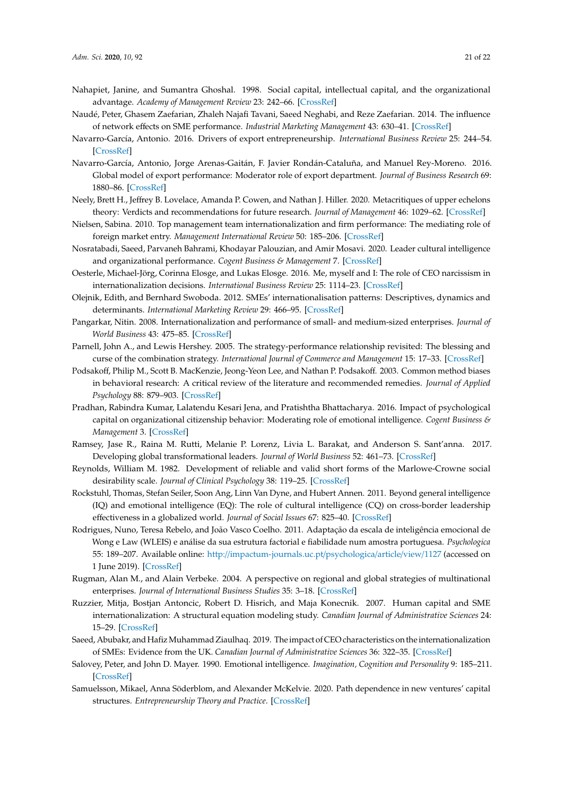- <span id="page-20-0"></span>Nahapiet, Janine, and Sumantra Ghoshal. 1998. Social capital, intellectual capital, and the organizational advantage. *Academy of Management Review* 23: 242–66. [\[CrossRef\]](http://dx.doi.org/10.5465/amr.1998.533225)
- <span id="page-20-18"></span>Naudé, Peter, Ghasem Zaefarian, Zhaleh Najafi Tavani, Saeed Neghabi, and Reze Zaefarian. 2014. The influence of network effects on SME performance. *Industrial Marketing Management* 43: 630–41. [\[CrossRef\]](http://dx.doi.org/10.1016/j.indmarman.2014.02.004)
- <span id="page-20-5"></span>Navarro-García, Antonio. 2016. Drivers of export entrepreneurship. *International Business Review* 25: 244–54. [\[CrossRef\]](http://dx.doi.org/10.1016/j.ibusrev.2015.05.007)
- <span id="page-20-6"></span>Navarro-García, Antonio, Jorge Arenas-Gaitán, F. Javier Rondán-Cataluña, and Manuel Rey-Moreno. 2016. Global model of export performance: Moderator role of export department. *Journal of Business Research* 69: 1880–86. [\[CrossRef\]](http://dx.doi.org/10.1016/j.jbusres.2015.10.073)
- <span id="page-20-4"></span>Neely, Brett H., Jeffrey B. Lovelace, Amanda P. Cowen, and Nathan J. Hiller. 2020. Metacritiques of upper echelons theory: Verdicts and recommendations for future research. *Journal of Management* 46: 1029–62. [\[CrossRef\]](http://dx.doi.org/10.1177/0149206320908640)
- <span id="page-20-1"></span>Nielsen, Sabina. 2010. Top management team internationalization and firm performance: The mediating role of foreign market entry. *Management International Review* 50: 185–206. [\[CrossRef\]](http://dx.doi.org/10.1007/s11575-010-0029-0)
- <span id="page-20-15"></span>Nosratabadi, Saeed, Parvaneh Bahrami, Khodayar Palouzian, and Amir Mosavi. 2020. Leader cultural intelligence and organizational performance. *Cogent Business & Management* 7. [\[CrossRef\]](http://dx.doi.org/10.1080/23311975)
- <span id="page-20-2"></span>Oesterle, Michael-Jörg, Corinna Elosge, and Lukas Elosge. 2016. Me, myself and I: The role of CEO narcissism in internationalization decisions. *International Business Review* 25: 1114–23. [\[CrossRef\]](http://dx.doi.org/10.1016/j.ibusrev.2016.02.001)
- <span id="page-20-12"></span>Olejnik, Edith, and Bernhard Swoboda. 2012. SMEs' internationalisation patterns: Descriptives, dynamics and determinants. *International Marketing Review* 29: 466–95. [\[CrossRef\]](http://dx.doi.org/10.1108/02651331211260340)
- <span id="page-20-7"></span>Pangarkar, Nitin. 2008. Internationalization and performance of small- and medium-sized enterprises. *Journal of World Business* 43: 475–85. [\[CrossRef\]](http://dx.doi.org/10.1016/j.jwb.2007.11.009)
- <span id="page-20-9"></span>Parnell, John A., and Lewis Hershey. 2005. The strategy-performance relationship revisited: The blessing and curse of the combination strategy. *International Journal of Commerce and Management* 15: 17–33. [\[CrossRef\]](http://dx.doi.org/10.1108/10569210580000220)
- <span id="page-20-19"></span>Podsakoff, Philip M., Scott B. MacKenzie, Jeong-Yeon Lee, and Nathan P. Podsakoff. 2003. Common method biases in behavioral research: A critical review of the literature and recommended remedies. *Journal of Applied Psychology* 88: 879–903. [\[CrossRef\]](http://dx.doi.org/10.1037/0021-9010.88.5.879)
- <span id="page-20-17"></span>Pradhan, Rabindra Kumar, Lalatendu Kesari Jena, and Pratishtha Bhattacharya. 2016. Impact of psychological capital on organizational citizenship behavior: Moderating role of emotional intelligence. *Cogent Business & Management* 3. [\[CrossRef\]](http://dx.doi.org/10.1080/23311975)
- <span id="page-20-11"></span>Ramsey, Jase R., Raina M. Rutti, Melanie P. Lorenz, Livia L. Barakat, and Anderson S. Sant'anna. 2017. Developing global transformational leaders. *Journal of World Business* 52: 461–73. [\[CrossRef\]](http://dx.doi.org/10.1016/j.jwb.2016.06.002)
- <span id="page-20-21"></span>Reynolds, William M. 1982. Development of reliable and valid short forms of the Marlowe-Crowne social desirability scale. *Journal of Clinical Psychology* 38: 119–25. [\[CrossRef\]](http://dx.doi.org/10.1002/1097-4679(198201)38:1<119::AID-JCLP2270380118>3.0.CO;2-I)
- <span id="page-20-14"></span>Rockstuhl, Thomas, Stefan Seiler, Soon Ang, Linn Van Dyne, and Hubert Annen. 2011. Beyond general intelligence (IQ) and emotional intelligence (EQ): The role of cultural intelligence (CQ) on cross-border leadership effectiveness in a globalized world. *Journal of Social Issues* 67: 825–40. [\[CrossRef\]](http://dx.doi.org/10.1111/j.1540-4560.2011.01730.x)
- <span id="page-20-20"></span>Rodrigues, Nuno, Teresa Rebelo, and João Vasco Coelho. 2011. Adaptação da escala de inteligência emocional de Wong e Law (WLEIS) e análise da sua estrutura factorial e fiabilidade num amostra portuguesa. *Psychologica* 55: 189–207. Available online: http://[impactum-journals.uc.pt](http://impactum-journals.uc.pt/psychologica/article/view/1127)/psychologica/article/view/1127 (accessed on 1 June 2019). [\[CrossRef\]](http://dx.doi.org/10.14195/1647-8606_55_10)
- <span id="page-20-8"></span>Rugman, Alan M., and Alain Verbeke. 2004. A perspective on regional and global strategies of multinational enterprises. *Journal of International Business Studies* 35: 3–18. [\[CrossRef\]](http://dx.doi.org/10.1057/palgrave.jibs.8400073)
- <span id="page-20-13"></span>Ruzzier, Mitja, Bostjan Antoncic, Robert D. Hisrich, and Maja Konecnik. 2007. Human capital and SME internationalization: A structural equation modeling study. *Canadian Journal of Administrative Sciences* 24: 15–29. [\[CrossRef\]](http://dx.doi.org/10.1002/cjas.3)
- <span id="page-20-3"></span>Saeed, Abubakr, and Hafiz Muhammad Ziaulhaq. 2019. The impact of CEO characteristics on the internationalization of SMEs: Evidence from the UK. *Canadian Journal of Administrative Sciences* 36: 322–35. [\[CrossRef\]](http://dx.doi.org/10.1002/cjas.1497)
- <span id="page-20-16"></span>Salovey, Peter, and John D. Mayer. 1990. Emotional intelligence. *Imagination, Cognition and Personality* 9: 185–211. [\[CrossRef\]](http://dx.doi.org/10.2190/DUGG-P24E-52WK-6CDG)
- <span id="page-20-10"></span>Samuelsson, Mikael, Anna Söderblom, and Alexander McKelvie. 2020. Path dependence in new ventures' capital structures. *Entrepreneurship Theory and Practice*. [\[CrossRef\]](http://dx.doi.org/10.1177/1042258720901717)